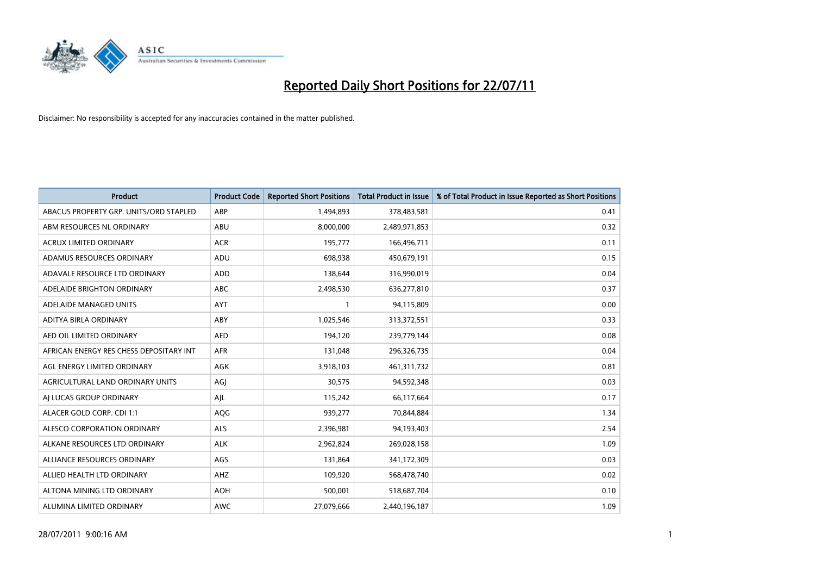

| <b>Product</b>                          | <b>Product Code</b> | <b>Reported Short Positions</b> | Total Product in Issue | % of Total Product in Issue Reported as Short Positions |
|-----------------------------------------|---------------------|---------------------------------|------------------------|---------------------------------------------------------|
| ABACUS PROPERTY GRP. UNITS/ORD STAPLED  | ABP                 | 1,494,893                       | 378,483,581            | 0.41                                                    |
| ABM RESOURCES NL ORDINARY               | ABU                 | 8,000,000                       | 2,489,971,853          | 0.32                                                    |
| <b>ACRUX LIMITED ORDINARY</b>           | <b>ACR</b>          | 195,777                         | 166,496,711            | 0.11                                                    |
| ADAMUS RESOURCES ORDINARY               | ADU                 | 698,938                         | 450,679,191            | 0.15                                                    |
| ADAVALE RESOURCE LTD ORDINARY           | <b>ADD</b>          | 138.644                         | 316,990,019            | 0.04                                                    |
| ADELAIDE BRIGHTON ORDINARY              | <b>ABC</b>          | 2,498,530                       | 636,277,810            | 0.37                                                    |
| ADELAIDE MANAGED UNITS                  | <b>AYT</b>          |                                 | 94,115,809             | 0.00                                                    |
| <b>ADITYA BIRLA ORDINARY</b>            | ABY                 | 1,025,546                       | 313,372,551            | 0.33                                                    |
| AED OIL LIMITED ORDINARY                | <b>AED</b>          | 194,120                         | 239,779,144            | 0.08                                                    |
| AFRICAN ENERGY RES CHESS DEPOSITARY INT | <b>AFR</b>          | 131,048                         | 296,326,735            | 0.04                                                    |
| AGL ENERGY LIMITED ORDINARY             | <b>AGK</b>          | 3,918,103                       | 461,311,732            | 0.81                                                    |
| AGRICULTURAL LAND ORDINARY UNITS        | AGJ                 | 30,575                          | 94,592,348             | 0.03                                                    |
| AI LUCAS GROUP ORDINARY                 | AJL                 | 115,242                         | 66,117,664             | 0.17                                                    |
| ALACER GOLD CORP. CDI 1:1               | AQG                 | 939,277                         | 70,844,884             | 1.34                                                    |
| ALESCO CORPORATION ORDINARY             | <b>ALS</b>          | 2,396,981                       | 94,193,403             | 2.54                                                    |
| ALKANE RESOURCES LTD ORDINARY           | <b>ALK</b>          | 2,962,824                       | 269,028,158            | 1.09                                                    |
| ALLIANCE RESOURCES ORDINARY             | AGS                 | 131,864                         | 341,172,309            | 0.03                                                    |
| ALLIED HEALTH LTD ORDINARY              | AHZ                 | 109,920                         | 568,478,740            | 0.02                                                    |
| ALTONA MINING LTD ORDINARY              | <b>AOH</b>          | 500,001                         | 518,687,704            | 0.10                                                    |
| ALUMINA LIMITED ORDINARY                | <b>AWC</b>          | 27,079,666                      | 2,440,196,187          | 1.09                                                    |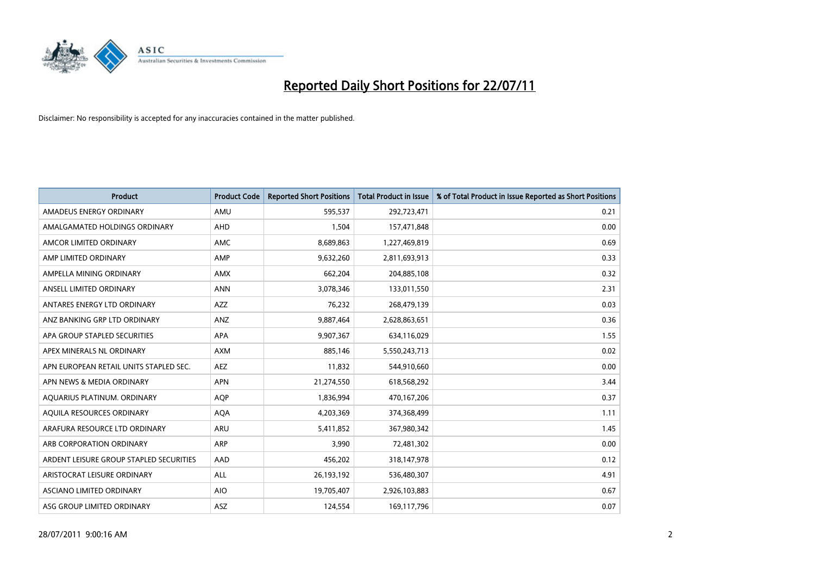

| <b>Product</b>                          | <b>Product Code</b> | <b>Reported Short Positions</b> | <b>Total Product in Issue</b> | % of Total Product in Issue Reported as Short Positions |
|-----------------------------------------|---------------------|---------------------------------|-------------------------------|---------------------------------------------------------|
| AMADEUS ENERGY ORDINARY                 | AMU                 | 595,537                         | 292,723,471                   | 0.21                                                    |
| AMALGAMATED HOLDINGS ORDINARY           | AHD                 | 1,504                           | 157,471,848                   | 0.00                                                    |
| AMCOR LIMITED ORDINARY                  | <b>AMC</b>          | 8,689,863                       | 1,227,469,819                 | 0.69                                                    |
| AMP LIMITED ORDINARY                    | AMP                 | 9,632,260                       | 2,811,693,913                 | 0.33                                                    |
| AMPELLA MINING ORDINARY                 | <b>AMX</b>          | 662,204                         | 204,885,108                   | 0.32                                                    |
| ANSELL LIMITED ORDINARY                 | <b>ANN</b>          | 3,078,346                       | 133,011,550                   | 2.31                                                    |
| ANTARES ENERGY LTD ORDINARY             | <b>AZZ</b>          | 76,232                          | 268,479,139                   | 0.03                                                    |
| ANZ BANKING GRP LTD ORDINARY            | ANZ                 | 9,887,464                       | 2,628,863,651                 | 0.36                                                    |
| APA GROUP STAPLED SECURITIES            | APA                 | 9,907,367                       | 634,116,029                   | 1.55                                                    |
| APEX MINERALS NL ORDINARY               | <b>AXM</b>          | 885.146                         | 5,550,243,713                 | 0.02                                                    |
| APN EUROPEAN RETAIL UNITS STAPLED SEC.  | <b>AEZ</b>          | 11,832                          | 544,910,660                   | 0.00                                                    |
| APN NEWS & MEDIA ORDINARY               | <b>APN</b>          | 21,274,550                      | 618,568,292                   | 3.44                                                    |
| AQUARIUS PLATINUM. ORDINARY             | <b>AOP</b>          | 1,836,994                       | 470,167,206                   | 0.37                                                    |
| AQUILA RESOURCES ORDINARY               | <b>AQA</b>          | 4,203,369                       | 374,368,499                   | 1.11                                                    |
| ARAFURA RESOURCE LTD ORDINARY           | ARU                 | 5,411,852                       | 367,980,342                   | 1.45                                                    |
| ARB CORPORATION ORDINARY                | <b>ARP</b>          | 3.990                           | 72,481,302                    | 0.00                                                    |
| ARDENT LEISURE GROUP STAPLED SECURITIES | AAD                 | 456,202                         | 318,147,978                   | 0.12                                                    |
| ARISTOCRAT LEISURE ORDINARY             | ALL                 | 26,193,192                      | 536,480,307                   | 4.91                                                    |
| ASCIANO LIMITED ORDINARY                | <b>AIO</b>          | 19,705,407                      | 2,926,103,883                 | 0.67                                                    |
| ASG GROUP LIMITED ORDINARY              | ASZ                 | 124,554                         | 169,117,796                   | 0.07                                                    |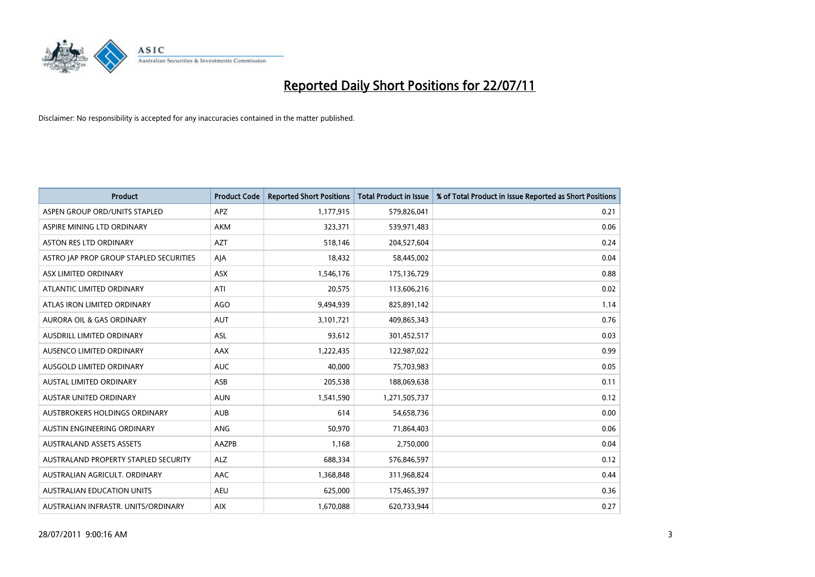

| <b>Product</b>                          | <b>Product Code</b> | <b>Reported Short Positions</b> | Total Product in Issue | % of Total Product in Issue Reported as Short Positions |
|-----------------------------------------|---------------------|---------------------------------|------------------------|---------------------------------------------------------|
| ASPEN GROUP ORD/UNITS STAPLED           | <b>APZ</b>          | 1,177,915                       | 579,826,041            | 0.21                                                    |
| ASPIRE MINING LTD ORDINARY              | <b>AKM</b>          | 323,371                         | 539,971,483            | 0.06                                                    |
| <b>ASTON RES LTD ORDINARY</b>           | <b>AZT</b>          | 518,146                         | 204,527,604            | 0.24                                                    |
| ASTRO JAP PROP GROUP STAPLED SECURITIES | AJA                 | 18,432                          | 58,445,002             | 0.04                                                    |
| ASX LIMITED ORDINARY                    | <b>ASX</b>          | 1,546,176                       | 175,136,729            | 0.88                                                    |
| ATLANTIC LIMITED ORDINARY               | ATI                 | 20,575                          | 113,606,216            | 0.02                                                    |
| ATLAS IRON LIMITED ORDINARY             | <b>AGO</b>          | 9,494,939                       | 825,891,142            | 1.14                                                    |
| AURORA OIL & GAS ORDINARY               | <b>AUT</b>          | 3,101,721                       | 409,865,343            | 0.76                                                    |
| AUSDRILL LIMITED ORDINARY               | ASL                 | 93,612                          | 301,452,517            | 0.03                                                    |
| AUSENCO LIMITED ORDINARY                | AAX                 | 1,222,435                       | 122,987,022            | 0.99                                                    |
| AUSGOLD LIMITED ORDINARY                | <b>AUC</b>          | 40,000                          | 75,703,983             | 0.05                                                    |
| <b>AUSTAL LIMITED ORDINARY</b>          | ASB                 | 205,538                         | 188,069,638            | 0.11                                                    |
| <b>AUSTAR UNITED ORDINARY</b>           | <b>AUN</b>          | 1,541,590                       | 1,271,505,737          | 0.12                                                    |
| AUSTBROKERS HOLDINGS ORDINARY           | <b>AUB</b>          | 614                             | 54,658,736             | 0.00                                                    |
| AUSTIN ENGINEERING ORDINARY             | ANG                 | 50,970                          | 71,864,403             | 0.06                                                    |
| <b>AUSTRALAND ASSETS ASSETS</b>         | AAZPB               | 1,168                           | 2,750,000              | 0.04                                                    |
| AUSTRALAND PROPERTY STAPLED SECURITY    | <b>ALZ</b>          | 688,334                         | 576,846,597            | 0.12                                                    |
| AUSTRALIAN AGRICULT. ORDINARY           | <b>AAC</b>          | 1,368,848                       | 311,968,824            | 0.44                                                    |
| <b>AUSTRALIAN EDUCATION UNITS</b>       | <b>AEU</b>          | 625,000                         | 175,465,397            | 0.36                                                    |
| AUSTRALIAN INFRASTR, UNITS/ORDINARY     | <b>AIX</b>          | 1,670,088                       | 620,733,944            | 0.27                                                    |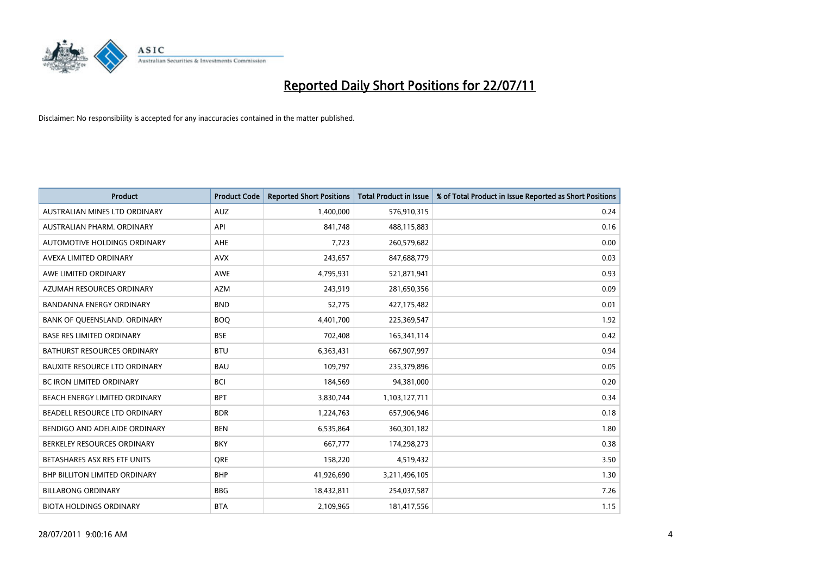

| <b>Product</b>                       | <b>Product Code</b> | <b>Reported Short Positions</b> | <b>Total Product in Issue</b> | % of Total Product in Issue Reported as Short Positions |
|--------------------------------------|---------------------|---------------------------------|-------------------------------|---------------------------------------------------------|
| AUSTRALIAN MINES LTD ORDINARY        | <b>AUZ</b>          | 1,400,000                       | 576,910,315                   | 0.24                                                    |
| AUSTRALIAN PHARM. ORDINARY           | API                 | 841,748                         | 488,115,883                   | 0.16                                                    |
| AUTOMOTIVE HOLDINGS ORDINARY         | <b>AHE</b>          | 7,723                           | 260,579,682                   | 0.00                                                    |
| AVEXA LIMITED ORDINARY               | <b>AVX</b>          | 243,657                         | 847,688,779                   | 0.03                                                    |
| AWE LIMITED ORDINARY                 | AWE                 | 4,795,931                       | 521,871,941                   | 0.93                                                    |
| AZUMAH RESOURCES ORDINARY            | <b>AZM</b>          | 243,919                         | 281,650,356                   | 0.09                                                    |
| <b>BANDANNA ENERGY ORDINARY</b>      | <b>BND</b>          | 52,775                          | 427,175,482                   | 0.01                                                    |
| BANK OF QUEENSLAND. ORDINARY         | <b>BOQ</b>          | 4,401,700                       | 225,369,547                   | 1.92                                                    |
| <b>BASE RES LIMITED ORDINARY</b>     | <b>BSE</b>          | 702,408                         | 165,341,114                   | 0.42                                                    |
| <b>BATHURST RESOURCES ORDINARY</b>   | <b>BTU</b>          | 6,363,431                       | 667,907,997                   | 0.94                                                    |
| <b>BAUXITE RESOURCE LTD ORDINARY</b> | <b>BAU</b>          | 109,797                         | 235,379,896                   | 0.05                                                    |
| <b>BC IRON LIMITED ORDINARY</b>      | <b>BCI</b>          | 184,569                         | 94,381,000                    | 0.20                                                    |
| BEACH ENERGY LIMITED ORDINARY        | <b>BPT</b>          | 3,830,744                       | 1,103,127,711                 | 0.34                                                    |
| BEADELL RESOURCE LTD ORDINARY        | <b>BDR</b>          | 1,224,763                       | 657,906,946                   | 0.18                                                    |
| BENDIGO AND ADELAIDE ORDINARY        | <b>BEN</b>          | 6,535,864                       | 360,301,182                   | 1.80                                                    |
| BERKELEY RESOURCES ORDINARY          | <b>BKY</b>          | 667,777                         | 174,298,273                   | 0.38                                                    |
| BETASHARES ASX RES ETF UNITS         | <b>ORE</b>          | 158,220                         | 4,519,432                     | 3.50                                                    |
| BHP BILLITON LIMITED ORDINARY        | <b>BHP</b>          | 41,926,690                      | 3,211,496,105                 | 1.30                                                    |
| <b>BILLABONG ORDINARY</b>            | <b>BBG</b>          | 18,432,811                      | 254,037,587                   | 7.26                                                    |
| <b>BIOTA HOLDINGS ORDINARY</b>       | <b>BTA</b>          | 2,109,965                       | 181,417,556                   | 1.15                                                    |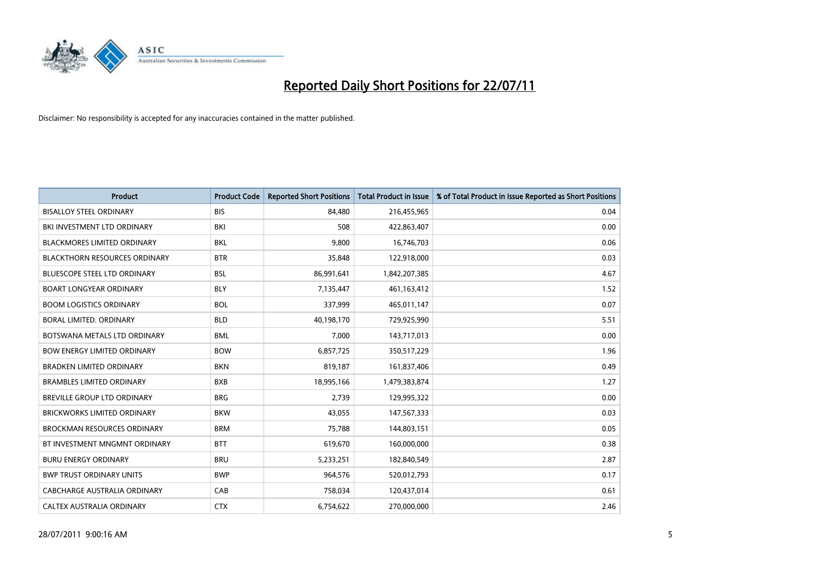

| <b>Product</b>                       | <b>Product Code</b> | <b>Reported Short Positions</b> | <b>Total Product in Issue</b> | % of Total Product in Issue Reported as Short Positions |
|--------------------------------------|---------------------|---------------------------------|-------------------------------|---------------------------------------------------------|
| <b>BISALLOY STEEL ORDINARY</b>       | <b>BIS</b>          | 84.480                          | 216,455,965                   | 0.04                                                    |
| BKI INVESTMENT LTD ORDINARY          | BKI                 | 508                             | 422,863,407                   | 0.00                                                    |
| <b>BLACKMORES LIMITED ORDINARY</b>   | <b>BKL</b>          | 9,800                           | 16,746,703                    | 0.06                                                    |
| <b>BLACKTHORN RESOURCES ORDINARY</b> | <b>BTR</b>          | 35,848                          | 122,918,000                   | 0.03                                                    |
| <b>BLUESCOPE STEEL LTD ORDINARY</b>  | <b>BSL</b>          | 86,991,641                      | 1,842,207,385                 | 4.67                                                    |
| <b>BOART LONGYEAR ORDINARY</b>       | <b>BLY</b>          | 7,135,447                       | 461,163,412                   | 1.52                                                    |
| <b>BOOM LOGISTICS ORDINARY</b>       | <b>BOL</b>          | 337,999                         | 465,011,147                   | 0.07                                                    |
| BORAL LIMITED, ORDINARY              | <b>BLD</b>          | 40,198,170                      | 729,925,990                   | 5.51                                                    |
| BOTSWANA METALS LTD ORDINARY         | <b>BML</b>          | 7,000                           | 143,717,013                   | 0.00                                                    |
| <b>BOW ENERGY LIMITED ORDINARY</b>   | <b>BOW</b>          | 6,857,725                       | 350,517,229                   | 1.96                                                    |
| <b>BRADKEN LIMITED ORDINARY</b>      | <b>BKN</b>          | 819,187                         | 161,837,406                   | 0.49                                                    |
| <b>BRAMBLES LIMITED ORDINARY</b>     | <b>BXB</b>          | 18,995,166                      | 1,479,383,874                 | 1.27                                                    |
| <b>BREVILLE GROUP LTD ORDINARY</b>   | <b>BRG</b>          | 2,739                           | 129,995,322                   | 0.00                                                    |
| <b>BRICKWORKS LIMITED ORDINARY</b>   | <b>BKW</b>          | 43,055                          | 147,567,333                   | 0.03                                                    |
| <b>BROCKMAN RESOURCES ORDINARY</b>   | <b>BRM</b>          | 75,788                          | 144,803,151                   | 0.05                                                    |
| BT INVESTMENT MNGMNT ORDINARY        | <b>BTT</b>          | 619,670                         | 160,000,000                   | 0.38                                                    |
| <b>BURU ENERGY ORDINARY</b>          | <b>BRU</b>          | 5,233,251                       | 182,840,549                   | 2.87                                                    |
| <b>BWP TRUST ORDINARY UNITS</b>      | <b>BWP</b>          | 964,576                         | 520,012,793                   | 0.17                                                    |
| CABCHARGE AUSTRALIA ORDINARY         | CAB                 | 758,034                         | 120,437,014                   | 0.61                                                    |
| CALTEX AUSTRALIA ORDINARY            | <b>CTX</b>          | 6,754,622                       | 270,000,000                   | 2.46                                                    |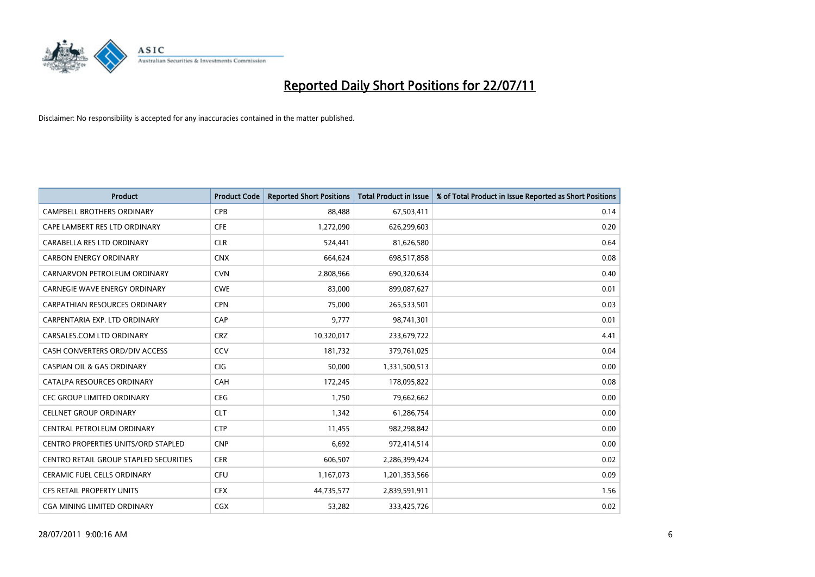

| <b>Product</b>                                | <b>Product Code</b> | <b>Reported Short Positions</b> | <b>Total Product in Issue</b> | % of Total Product in Issue Reported as Short Positions |
|-----------------------------------------------|---------------------|---------------------------------|-------------------------------|---------------------------------------------------------|
| <b>CAMPBELL BROTHERS ORDINARY</b>             | <b>CPB</b>          | 88,488                          | 67,503,411                    | 0.14                                                    |
| CAPE LAMBERT RES LTD ORDINARY                 | <b>CFE</b>          | 1,272,090                       | 626,299,603                   | 0.20                                                    |
| CARABELLA RES LTD ORDINARY                    | <b>CLR</b>          | 524,441                         | 81,626,580                    | 0.64                                                    |
| <b>CARBON ENERGY ORDINARY</b>                 | <b>CNX</b>          | 664,624                         | 698,517,858                   | 0.08                                                    |
| CARNARVON PETROLEUM ORDINARY                  | <b>CVN</b>          | 2,808,966                       | 690,320,634                   | 0.40                                                    |
| <b>CARNEGIE WAVE ENERGY ORDINARY</b>          | <b>CWE</b>          | 83,000                          | 899,087,627                   | 0.01                                                    |
| <b>CARPATHIAN RESOURCES ORDINARY</b>          | <b>CPN</b>          | 75.000                          | 265,533,501                   | 0.03                                                    |
| CARPENTARIA EXP. LTD ORDINARY                 | CAP                 | 9,777                           | 98,741,301                    | 0.01                                                    |
| CARSALES.COM LTD ORDINARY                     | <b>CRZ</b>          | 10,320,017                      | 233,679,722                   | 4.41                                                    |
| CASH CONVERTERS ORD/DIV ACCESS                | CCV                 | 181,732                         | 379,761,025                   | 0.04                                                    |
| <b>CASPIAN OIL &amp; GAS ORDINARY</b>         | <b>CIG</b>          | 50,000                          | 1,331,500,513                 | 0.00                                                    |
| CATALPA RESOURCES ORDINARY                    | CAH                 | 172,245                         | 178,095,822                   | 0.08                                                    |
| <b>CEC GROUP LIMITED ORDINARY</b>             | <b>CEG</b>          | 1,750                           | 79,662,662                    | 0.00                                                    |
| <b>CELLNET GROUP ORDINARY</b>                 | <b>CLT</b>          | 1,342                           | 61,286,754                    | 0.00                                                    |
| CENTRAL PETROLEUM ORDINARY                    | <b>CTP</b>          | 11,455                          | 982,298,842                   | 0.00                                                    |
| CENTRO PROPERTIES UNITS/ORD STAPLED           | <b>CNP</b>          | 6,692                           | 972,414,514                   | 0.00                                                    |
| <b>CENTRO RETAIL GROUP STAPLED SECURITIES</b> | <b>CER</b>          | 606,507                         | 2,286,399,424                 | 0.02                                                    |
| CERAMIC FUEL CELLS ORDINARY                   | <b>CFU</b>          | 1,167,073                       | 1,201,353,566                 | 0.09                                                    |
| <b>CFS RETAIL PROPERTY UNITS</b>              | <b>CFX</b>          | 44,735,577                      | 2,839,591,911                 | 1.56                                                    |
| CGA MINING LIMITED ORDINARY                   | <b>CGX</b>          | 53,282                          | 333,425,726                   | 0.02                                                    |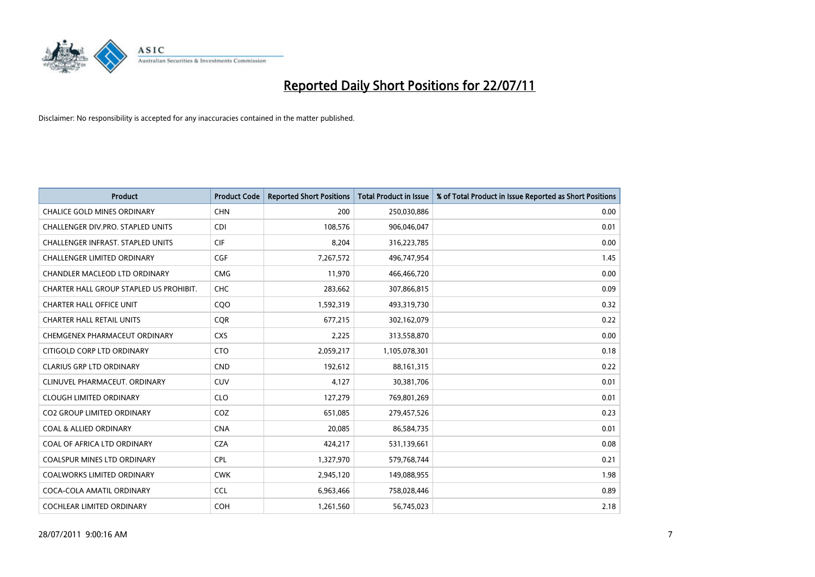

| <b>Product</b>                          | <b>Product Code</b> | <b>Reported Short Positions</b> | <b>Total Product in Issue</b> | % of Total Product in Issue Reported as Short Positions |
|-----------------------------------------|---------------------|---------------------------------|-------------------------------|---------------------------------------------------------|
| <b>CHALICE GOLD MINES ORDINARY</b>      | <b>CHN</b>          | 200                             | 250,030,886                   | 0.00                                                    |
| CHALLENGER DIV.PRO. STAPLED UNITS       | <b>CDI</b>          | 108,576                         | 906,046,047                   | 0.01                                                    |
| CHALLENGER INFRAST. STAPLED UNITS       | <b>CIF</b>          | 8,204                           | 316,223,785                   | 0.00                                                    |
| CHALLENGER LIMITED ORDINARY             | <b>CGF</b>          | 7,267,572                       | 496,747,954                   | 1.45                                                    |
| <b>CHANDLER MACLEOD LTD ORDINARY</b>    | <b>CMG</b>          | 11,970                          | 466,466,720                   | 0.00                                                    |
| CHARTER HALL GROUP STAPLED US PROHIBIT. | CHC                 | 283,662                         | 307,866,815                   | 0.09                                                    |
| <b>CHARTER HALL OFFICE UNIT</b>         | COO                 | 1,592,319                       | 493,319,730                   | 0.32                                                    |
| <b>CHARTER HALL RETAIL UNITS</b>        | <b>COR</b>          | 677,215                         | 302,162,079                   | 0.22                                                    |
| CHEMGENEX PHARMACEUT ORDINARY           | <b>CXS</b>          | 2,225                           | 313,558,870                   | 0.00                                                    |
| CITIGOLD CORP LTD ORDINARY              | <b>CTO</b>          | 2,059,217                       | 1,105,078,301                 | 0.18                                                    |
| <b>CLARIUS GRP LTD ORDINARY</b>         | <b>CND</b>          | 192,612                         | 88,161,315                    | 0.22                                                    |
| CLINUVEL PHARMACEUT. ORDINARY           | <b>CUV</b>          | 4,127                           | 30,381,706                    | 0.01                                                    |
| <b>CLOUGH LIMITED ORDINARY</b>          | <b>CLO</b>          | 127,279                         | 769,801,269                   | 0.01                                                    |
| <b>CO2 GROUP LIMITED ORDINARY</b>       | COZ                 | 651,085                         | 279,457,526                   | 0.23                                                    |
| <b>COAL &amp; ALLIED ORDINARY</b>       | <b>CNA</b>          | 20,085                          | 86,584,735                    | 0.01                                                    |
| COAL OF AFRICA LTD ORDINARY             | <b>CZA</b>          | 424,217                         | 531,139,661                   | 0.08                                                    |
| COALSPUR MINES LTD ORDINARY             | <b>CPL</b>          | 1,327,970                       | 579,768,744                   | 0.21                                                    |
| COALWORKS LIMITED ORDINARY              | <b>CWK</b>          | 2,945,120                       | 149,088,955                   | 1.98                                                    |
| COCA-COLA AMATIL ORDINARY               | <b>CCL</b>          | 6,963,466                       | 758,028,446                   | 0.89                                                    |
| COCHLEAR LIMITED ORDINARY               | COH                 | 1,261,560                       | 56,745,023                    | 2.18                                                    |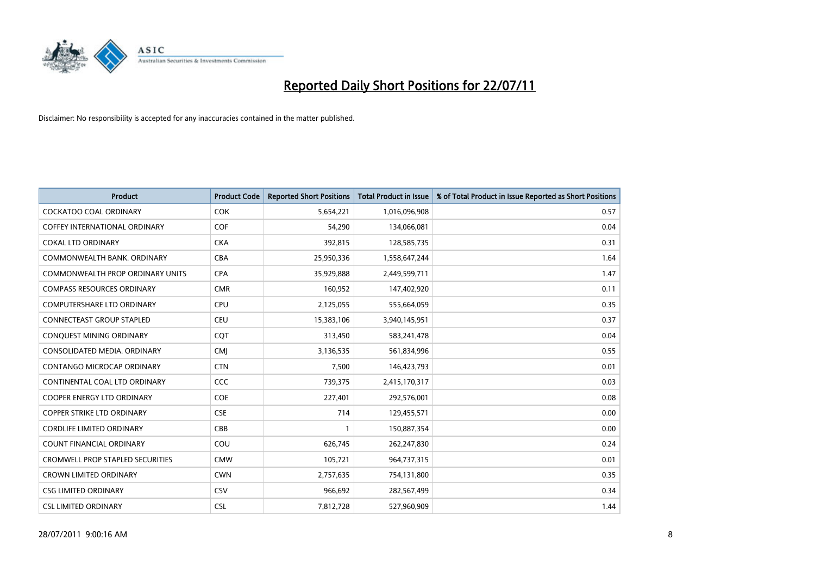

| <b>Product</b>                          | <b>Product Code</b> | <b>Reported Short Positions</b> | <b>Total Product in Issue</b> | % of Total Product in Issue Reported as Short Positions |
|-----------------------------------------|---------------------|---------------------------------|-------------------------------|---------------------------------------------------------|
| <b>COCKATOO COAL ORDINARY</b>           | <b>COK</b>          | 5,654,221                       | 1,016,096,908                 | 0.57                                                    |
| COFFEY INTERNATIONAL ORDINARY           | <b>COF</b>          | 54,290                          | 134,066,081                   | 0.04                                                    |
| <b>COKAL LTD ORDINARY</b>               | <b>CKA</b>          | 392,815                         | 128,585,735                   | 0.31                                                    |
| COMMONWEALTH BANK, ORDINARY             | <b>CBA</b>          | 25,950,336                      | 1,558,647,244                 | 1.64                                                    |
| <b>COMMONWEALTH PROP ORDINARY UNITS</b> | <b>CPA</b>          | 35,929,888                      | 2,449,599,711                 | 1.47                                                    |
| <b>COMPASS RESOURCES ORDINARY</b>       | <b>CMR</b>          | 160,952                         | 147,402,920                   | 0.11                                                    |
| <b>COMPUTERSHARE LTD ORDINARY</b>       | CPU                 | 2,125,055                       | 555,664,059                   | 0.35                                                    |
| CONNECTEAST GROUP STAPLED               | <b>CEU</b>          | 15,383,106                      | 3,940,145,951                 | 0.37                                                    |
| CONQUEST MINING ORDINARY                | <b>COT</b>          | 313,450                         | 583,241,478                   | 0.04                                                    |
| CONSOLIDATED MEDIA, ORDINARY            | <b>CMI</b>          | 3,136,535                       | 561,834,996                   | 0.55                                                    |
| CONTANGO MICROCAP ORDINARY              | <b>CTN</b>          | 7,500                           | 146,423,793                   | 0.01                                                    |
| CONTINENTAL COAL LTD ORDINARY           | <b>CCC</b>          | 739,375                         | 2,415,170,317                 | 0.03                                                    |
| COOPER ENERGY LTD ORDINARY              | <b>COE</b>          | 227,401                         | 292,576,001                   | 0.08                                                    |
| <b>COPPER STRIKE LTD ORDINARY</b>       | <b>CSE</b>          | 714                             | 129,455,571                   | 0.00                                                    |
| <b>CORDLIFE LIMITED ORDINARY</b>        | CBB                 |                                 | 150,887,354                   | 0.00                                                    |
| COUNT FINANCIAL ORDINARY                | COU                 | 626,745                         | 262,247,830                   | 0.24                                                    |
| <b>CROMWELL PROP STAPLED SECURITIES</b> | <b>CMW</b>          | 105,721                         | 964,737,315                   | 0.01                                                    |
| <b>CROWN LIMITED ORDINARY</b>           | <b>CWN</b>          | 2,757,635                       | 754,131,800                   | 0.35                                                    |
| <b>CSG LIMITED ORDINARY</b>             | CSV                 | 966,692                         | 282,567,499                   | 0.34                                                    |
| <b>CSL LIMITED ORDINARY</b>             | <b>CSL</b>          | 7,812,728                       | 527,960,909                   | 1.44                                                    |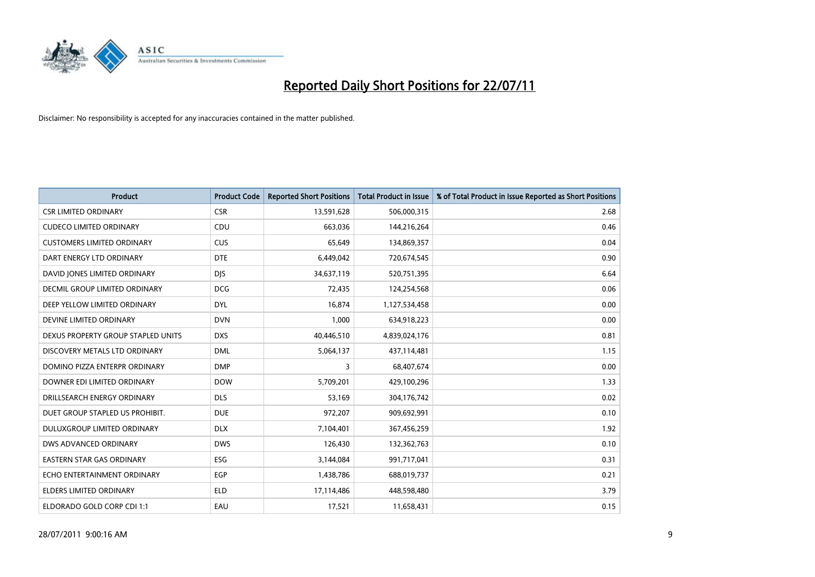

| <b>Product</b>                     | <b>Product Code</b> | <b>Reported Short Positions</b> | <b>Total Product in Issue</b> | % of Total Product in Issue Reported as Short Positions |
|------------------------------------|---------------------|---------------------------------|-------------------------------|---------------------------------------------------------|
| <b>CSR LIMITED ORDINARY</b>        | <b>CSR</b>          | 13,591,628                      | 506,000,315                   | 2.68                                                    |
| <b>CUDECO LIMITED ORDINARY</b>     | CDU                 | 663,036                         | 144,216,264                   | 0.46                                                    |
| <b>CUSTOMERS LIMITED ORDINARY</b>  | <b>CUS</b>          | 65,649                          | 134,869,357                   | 0.04                                                    |
| DART ENERGY LTD ORDINARY           | <b>DTE</b>          | 6,449,042                       | 720,674,545                   | 0.90                                                    |
| DAVID JONES LIMITED ORDINARY       | <b>DIS</b>          | 34,637,119                      | 520,751,395                   | 6.64                                                    |
| DECMIL GROUP LIMITED ORDINARY      | <b>DCG</b>          | 72,435                          | 124,254,568                   | 0.06                                                    |
| DEEP YELLOW LIMITED ORDINARY       | <b>DYL</b>          | 16,874                          | 1,127,534,458                 | 0.00                                                    |
| DEVINE LIMITED ORDINARY            | <b>DVN</b>          | 1,000                           | 634,918,223                   | 0.00                                                    |
| DEXUS PROPERTY GROUP STAPLED UNITS | <b>DXS</b>          | 40,446,510                      | 4,839,024,176                 | 0.81                                                    |
| DISCOVERY METALS LTD ORDINARY      | <b>DML</b>          | 5,064,137                       | 437,114,481                   | 1.15                                                    |
| DOMINO PIZZA ENTERPR ORDINARY      | <b>DMP</b>          | 3                               | 68,407,674                    | 0.00                                                    |
| DOWNER EDI LIMITED ORDINARY        | <b>DOW</b>          | 5,709,201                       | 429,100,296                   | 1.33                                                    |
| DRILLSEARCH ENERGY ORDINARY        | <b>DLS</b>          | 53,169                          | 304,176,742                   | 0.02                                                    |
| DUET GROUP STAPLED US PROHIBIT.    | <b>DUE</b>          | 972,207                         | 909,692,991                   | 0.10                                                    |
| DULUXGROUP LIMITED ORDINARY        | <b>DLX</b>          | 7,104,401                       | 367,456,259                   | 1.92                                                    |
| DWS ADVANCED ORDINARY              | <b>DWS</b>          | 126,430                         | 132,362,763                   | 0.10                                                    |
| <b>EASTERN STAR GAS ORDINARY</b>   | ESG                 | 3,144,084                       | 991,717,041                   | 0.31                                                    |
| ECHO ENTERTAINMENT ORDINARY        | <b>EGP</b>          | 1,438,786                       | 688,019,737                   | 0.21                                                    |
| <b>ELDERS LIMITED ORDINARY</b>     | <b>ELD</b>          | 17,114,486                      | 448,598,480                   | 3.79                                                    |
| ELDORADO GOLD CORP CDI 1:1         | EAU                 | 17,521                          | 11,658,431                    | 0.15                                                    |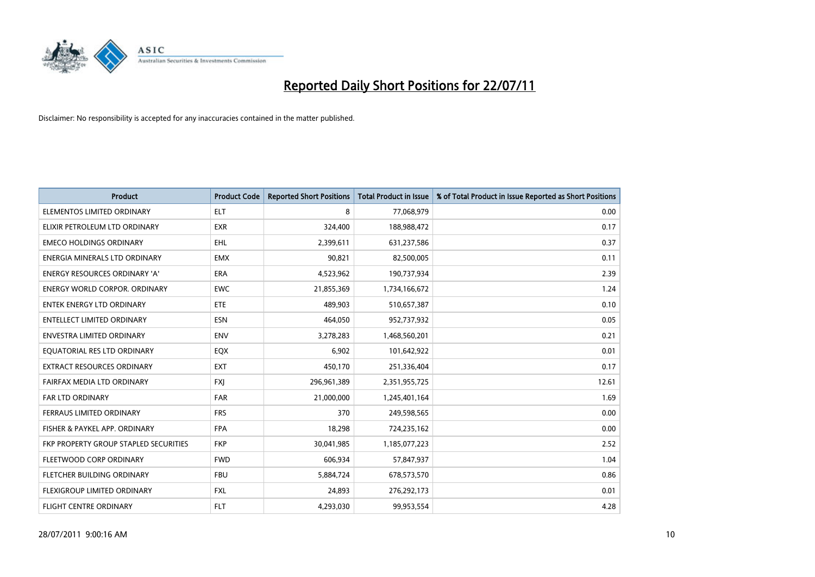

| <b>Product</b>                        | <b>Product Code</b> | <b>Reported Short Positions</b> | <b>Total Product in Issue</b> | % of Total Product in Issue Reported as Short Positions |
|---------------------------------------|---------------------|---------------------------------|-------------------------------|---------------------------------------------------------|
| ELEMENTOS LIMITED ORDINARY            | <b>ELT</b>          | 8                               | 77,068,979                    | 0.00                                                    |
| ELIXIR PETROLEUM LTD ORDINARY         | <b>EXR</b>          | 324,400                         | 188,988,472                   | 0.17                                                    |
| <b>EMECO HOLDINGS ORDINARY</b>        | <b>EHL</b>          | 2,399,611                       | 631,237,586                   | 0.37                                                    |
| ENERGIA MINERALS LTD ORDINARY         | <b>EMX</b>          | 90,821                          | 82,500,005                    | 0.11                                                    |
| <b>ENERGY RESOURCES ORDINARY 'A'</b>  | ERA                 | 4,523,962                       | 190,737,934                   | 2.39                                                    |
| <b>ENERGY WORLD CORPOR, ORDINARY</b>  | <b>EWC</b>          | 21,855,369                      | 1,734,166,672                 | 1.24                                                    |
| <b>ENTEK ENERGY LTD ORDINARY</b>      | ETE                 | 489,903                         | 510,657,387                   | 0.10                                                    |
| ENTELLECT LIMITED ORDINARY            | <b>ESN</b>          | 464,050                         | 952,737,932                   | 0.05                                                    |
| <b>ENVESTRA LIMITED ORDINARY</b>      | <b>ENV</b>          | 3,278,283                       | 1,468,560,201                 | 0.21                                                    |
| EQUATORIAL RES LTD ORDINARY           | EQX                 | 6,902                           | 101,642,922                   | 0.01                                                    |
| EXTRACT RESOURCES ORDINARY            | <b>EXT</b>          | 450,170                         | 251,336,404                   | 0.17                                                    |
| FAIRFAX MEDIA LTD ORDINARY            | <b>FXJ</b>          | 296,961,389                     | 2,351,955,725                 | 12.61                                                   |
| FAR LTD ORDINARY                      | <b>FAR</b>          | 21,000,000                      | 1,245,401,164                 | 1.69                                                    |
| FERRAUS LIMITED ORDINARY              | <b>FRS</b>          | 370                             | 249,598,565                   | 0.00                                                    |
| FISHER & PAYKEL APP. ORDINARY         | <b>FPA</b>          | 18,298                          | 724,235,162                   | 0.00                                                    |
| FKP PROPERTY GROUP STAPLED SECURITIES | <b>FKP</b>          | 30,041,985                      | 1,185,077,223                 | 2.52                                                    |
| FLEETWOOD CORP ORDINARY               | <b>FWD</b>          | 606,934                         | 57,847,937                    | 1.04                                                    |
| FLETCHER BUILDING ORDINARY            | <b>FBU</b>          | 5,884,724                       | 678,573,570                   | 0.86                                                    |
| FLEXIGROUP LIMITED ORDINARY           | <b>FXL</b>          | 24,893                          | 276,292,173                   | 0.01                                                    |
| FLIGHT CENTRE ORDINARY                | <b>FLT</b>          | 4,293,030                       | 99,953,554                    | 4.28                                                    |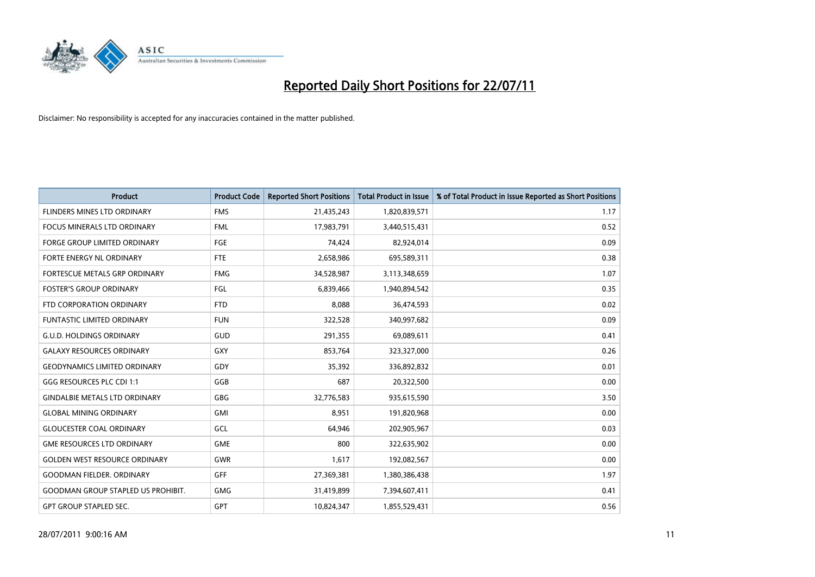

| <b>Product</b>                            | <b>Product Code</b> | <b>Reported Short Positions</b> | Total Product in Issue | % of Total Product in Issue Reported as Short Positions |
|-------------------------------------------|---------------------|---------------------------------|------------------------|---------------------------------------------------------|
| FLINDERS MINES LTD ORDINARY               | <b>FMS</b>          | 21,435,243                      | 1,820,839,571          | 1.17                                                    |
| FOCUS MINERALS LTD ORDINARY               | <b>FML</b>          | 17,983,791                      | 3,440,515,431          | 0.52                                                    |
| <b>FORGE GROUP LIMITED ORDINARY</b>       | <b>FGE</b>          | 74,424                          | 82,924,014             | 0.09                                                    |
| FORTE ENERGY NL ORDINARY                  | <b>FTE</b>          | 2,658,986                       | 695,589,311            | 0.38                                                    |
| FORTESCUE METALS GRP ORDINARY             | <b>FMG</b>          | 34,528,987                      | 3,113,348,659          | 1.07                                                    |
| <b>FOSTER'S GROUP ORDINARY</b>            | <b>FGL</b>          | 6,839,466                       | 1,940,894,542          | 0.35                                                    |
| FTD CORPORATION ORDINARY                  | <b>FTD</b>          | 8,088                           | 36,474,593             | 0.02                                                    |
| <b>FUNTASTIC LIMITED ORDINARY</b>         | <b>FUN</b>          | 322,528                         | 340,997,682            | 0.09                                                    |
| <b>G.U.D. HOLDINGS ORDINARY</b>           | <b>GUD</b>          | 291,355                         | 69,089,611             | 0.41                                                    |
| <b>GALAXY RESOURCES ORDINARY</b>          | GXY                 | 853,764                         | 323,327,000            | 0.26                                                    |
| <b>GEODYNAMICS LIMITED ORDINARY</b>       | GDY                 | 35,392                          | 336,892,832            | 0.01                                                    |
| GGG RESOURCES PLC CDI 1:1                 | GGB                 | 687                             | 20,322,500             | 0.00                                                    |
| <b>GINDALBIE METALS LTD ORDINARY</b>      | <b>GBG</b>          | 32,776,583                      | 935,615,590            | 3.50                                                    |
| <b>GLOBAL MINING ORDINARY</b>             | <b>GMI</b>          | 8,951                           | 191,820,968            | 0.00                                                    |
| <b>GLOUCESTER COAL ORDINARY</b>           | GCL                 | 64,946                          | 202,905,967            | 0.03                                                    |
| <b>GME RESOURCES LTD ORDINARY</b>         | <b>GME</b>          | 800                             | 322,635,902            | 0.00                                                    |
| <b>GOLDEN WEST RESOURCE ORDINARY</b>      | <b>GWR</b>          | 1,617                           | 192,082,567            | 0.00                                                    |
| <b>GOODMAN FIELDER. ORDINARY</b>          | <b>GFF</b>          | 27,369,381                      | 1,380,386,438          | 1.97                                                    |
| <b>GOODMAN GROUP STAPLED US PROHIBIT.</b> | <b>GMG</b>          | 31,419,899                      | 7,394,607,411          | 0.41                                                    |
| <b>GPT GROUP STAPLED SEC.</b>             | GPT                 | 10,824,347                      | 1,855,529,431          | 0.56                                                    |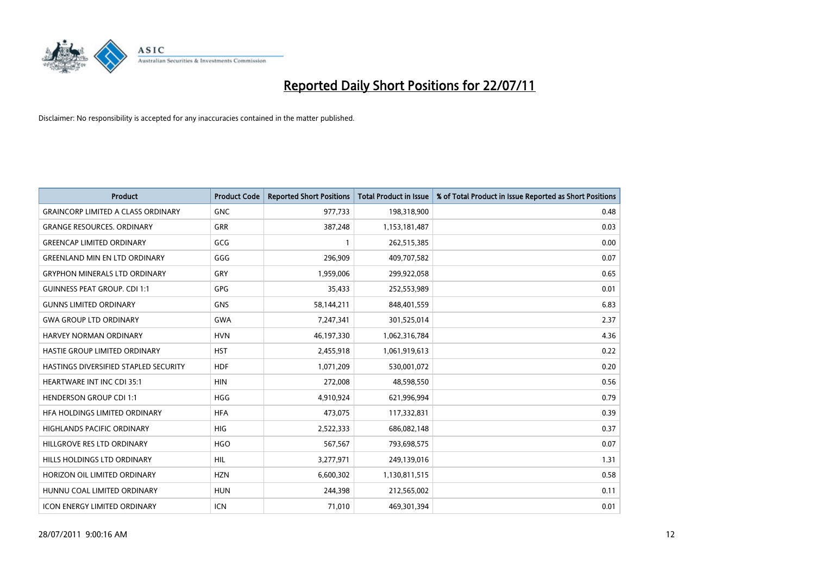

| <b>Product</b>                            | <b>Product Code</b> | <b>Reported Short Positions</b> | Total Product in Issue | % of Total Product in Issue Reported as Short Positions |
|-------------------------------------------|---------------------|---------------------------------|------------------------|---------------------------------------------------------|
| <b>GRAINCORP LIMITED A CLASS ORDINARY</b> | <b>GNC</b>          | 977,733                         | 198,318,900            | 0.48                                                    |
| <b>GRANGE RESOURCES. ORDINARY</b>         | <b>GRR</b>          | 387,248                         | 1,153,181,487          | 0.03                                                    |
| <b>GREENCAP LIMITED ORDINARY</b>          | GCG                 |                                 | 262,515,385            | 0.00                                                    |
| <b>GREENLAND MIN EN LTD ORDINARY</b>      | GGG                 | 296,909                         | 409,707,582            | 0.07                                                    |
| <b>GRYPHON MINERALS LTD ORDINARY</b>      | GRY                 | 1,959,006                       | 299,922,058            | 0.65                                                    |
| <b>GUINNESS PEAT GROUP. CDI 1:1</b>       | <b>GPG</b>          | 35,433                          | 252,553,989            | 0.01                                                    |
| <b>GUNNS LIMITED ORDINARY</b>             | <b>GNS</b>          | 58,144,211                      | 848,401,559            | 6.83                                                    |
| <b>GWA GROUP LTD ORDINARY</b>             | <b>GWA</b>          | 7,247,341                       | 301,525,014            | 2.37                                                    |
| <b>HARVEY NORMAN ORDINARY</b>             | <b>HVN</b>          | 46,197,330                      | 1,062,316,784          | 4.36                                                    |
| HASTIE GROUP LIMITED ORDINARY             | <b>HST</b>          | 2,455,918                       | 1,061,919,613          | 0.22                                                    |
| HASTINGS DIVERSIFIED STAPLED SECURITY     | <b>HDF</b>          | 1,071,209                       | 530,001,072            | 0.20                                                    |
| <b>HEARTWARE INT INC CDI 35:1</b>         | <b>HIN</b>          | 272,008                         | 48,598,550             | 0.56                                                    |
| <b>HENDERSON GROUP CDI 1:1</b>            | <b>HGG</b>          | 4,910,924                       | 621,996,994            | 0.79                                                    |
| HFA HOLDINGS LIMITED ORDINARY             | <b>HFA</b>          | 473,075                         | 117,332,831            | 0.39                                                    |
| <b>HIGHLANDS PACIFIC ORDINARY</b>         | <b>HIG</b>          | 2,522,333                       | 686,082,148            | 0.37                                                    |
| HILLGROVE RES LTD ORDINARY                | <b>HGO</b>          | 567,567                         | 793,698,575            | 0.07                                                    |
| HILLS HOLDINGS LTD ORDINARY               | <b>HIL</b>          | 3,277,971                       | 249,139,016            | 1.31                                                    |
| HORIZON OIL LIMITED ORDINARY              | <b>HZN</b>          | 6,600,302                       | 1,130,811,515          | 0.58                                                    |
| HUNNU COAL LIMITED ORDINARY               | <b>HUN</b>          | 244,398                         | 212,565,002            | 0.11                                                    |
| <b>ICON ENERGY LIMITED ORDINARY</b>       | <b>ICN</b>          | 71,010                          | 469,301,394            | 0.01                                                    |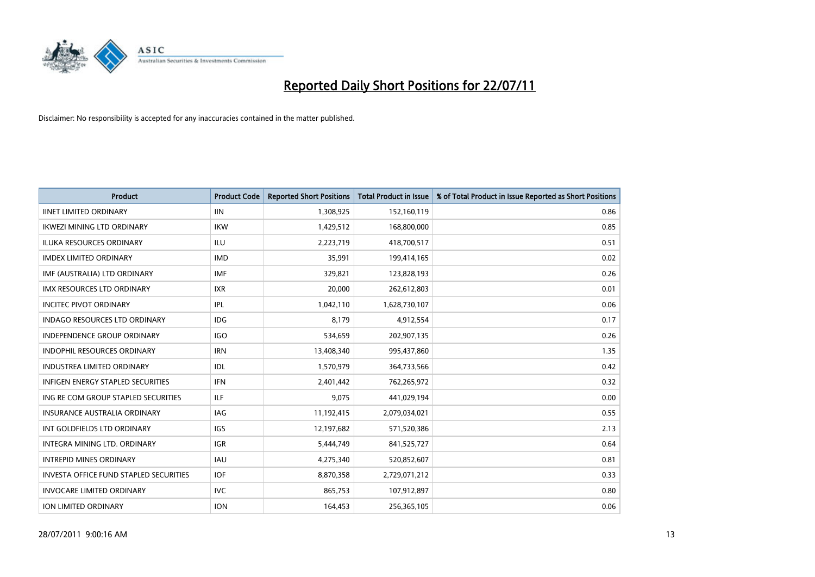

| <b>Product</b>                           | <b>Product Code</b> | <b>Reported Short Positions</b> | <b>Total Product in Issue</b> | % of Total Product in Issue Reported as Short Positions |
|------------------------------------------|---------------------|---------------------------------|-------------------------------|---------------------------------------------------------|
| <b>IINET LIMITED ORDINARY</b>            | <b>IIN</b>          | 1,308,925                       | 152,160,119                   | 0.86                                                    |
| IKWEZI MINING LTD ORDINARY               | <b>IKW</b>          | 1,429,512                       | 168,800,000                   | 0.85                                                    |
| <b>ILUKA RESOURCES ORDINARY</b>          | <b>ILU</b>          | 2,223,719                       | 418,700,517                   | 0.51                                                    |
| <b>IMDEX LIMITED ORDINARY</b>            | <b>IMD</b>          | 35,991                          | 199,414,165                   | 0.02                                                    |
| IMF (AUSTRALIA) LTD ORDINARY             | <b>IMF</b>          | 329,821                         | 123,828,193                   | 0.26                                                    |
| <b>IMX RESOURCES LTD ORDINARY</b>        | <b>IXR</b>          | 20,000                          | 262,612,803                   | 0.01                                                    |
| <b>INCITEC PIVOT ORDINARY</b>            | IPL                 | 1,042,110                       | 1,628,730,107                 | 0.06                                                    |
| <b>INDAGO RESOURCES LTD ORDINARY</b>     | <b>IDG</b>          | 8,179                           | 4,912,554                     | 0.17                                                    |
| INDEPENDENCE GROUP ORDINARY              | <b>IGO</b>          | 534,659                         | 202,907,135                   | 0.26                                                    |
| <b>INDOPHIL RESOURCES ORDINARY</b>       | <b>IRN</b>          | 13,408,340                      | 995,437,860                   | 1.35                                                    |
| <b>INDUSTREA LIMITED ORDINARY</b>        | IDL                 | 1,570,979                       | 364,733,566                   | 0.42                                                    |
| <b>INFIGEN ENERGY STAPLED SECURITIES</b> | <b>IFN</b>          | 2,401,442                       | 762,265,972                   | 0.32                                                    |
| ING RE COM GROUP STAPLED SECURITIES      | <b>ILF</b>          | 9,075                           | 441,029,194                   | 0.00                                                    |
| <b>INSURANCE AUSTRALIA ORDINARY</b>      | IAG                 | 11,192,415                      | 2,079,034,021                 | 0.55                                                    |
| INT GOLDFIELDS LTD ORDINARY              | <b>IGS</b>          | 12,197,682                      | 571,520,386                   | 2.13                                                    |
| INTEGRA MINING LTD. ORDINARY             | <b>IGR</b>          | 5,444,749                       | 841,525,727                   | 0.64                                                    |
| <b>INTREPID MINES ORDINARY</b>           | <b>IAU</b>          | 4,275,340                       | 520,852,607                   | 0.81                                                    |
| INVESTA OFFICE FUND STAPLED SECURITIES   | <b>IOF</b>          | 8,870,358                       | 2,729,071,212                 | 0.33                                                    |
| <b>INVOCARE LIMITED ORDINARY</b>         | <b>IVC</b>          | 865,753                         | 107,912,897                   | 0.80                                                    |
| <b>ION LIMITED ORDINARY</b>              | <b>ION</b>          | 164,453                         | 256,365,105                   | 0.06                                                    |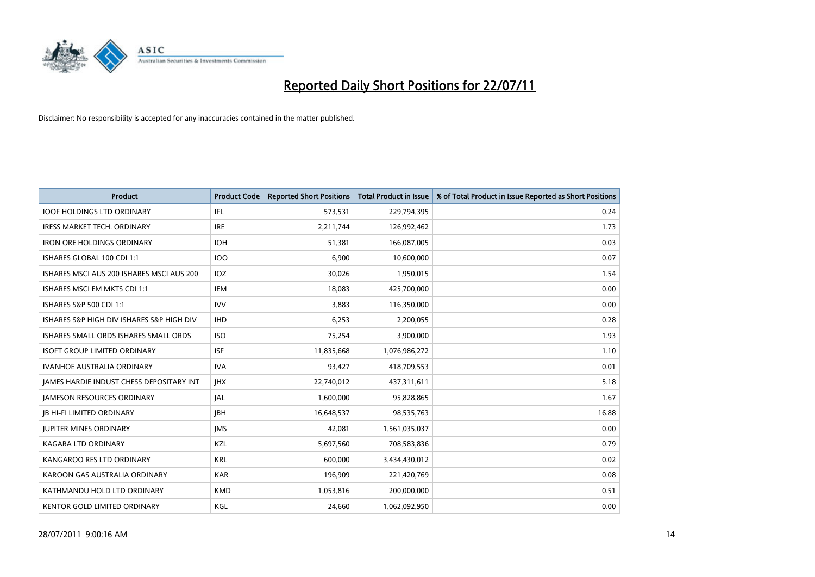

| <b>Product</b>                            | <b>Product Code</b> | <b>Reported Short Positions</b> | Total Product in Issue | % of Total Product in Issue Reported as Short Positions |
|-------------------------------------------|---------------------|---------------------------------|------------------------|---------------------------------------------------------|
| <b>IOOF HOLDINGS LTD ORDINARY</b>         | <b>IFL</b>          | 573,531                         | 229,794,395            | 0.24                                                    |
| <b>IRESS MARKET TECH. ORDINARY</b>        | <b>IRE</b>          | 2,211,744                       | 126,992,462            | 1.73                                                    |
| <b>IRON ORE HOLDINGS ORDINARY</b>         | <b>IOH</b>          | 51.381                          | 166,087,005            | 0.03                                                    |
| ISHARES GLOBAL 100 CDI 1:1                | <b>IOO</b>          | 6,900                           | 10,600,000             | 0.07                                                    |
| ISHARES MSCI AUS 200 ISHARES MSCI AUS 200 | IOZ                 | 30,026                          | 1,950,015              | 1.54                                                    |
| ISHARES MSCI EM MKTS CDI 1:1              | IEM                 | 18,083                          | 425,700,000            | 0.00                                                    |
| <b>ISHARES S&amp;P 500 CDI 1:1</b>        | <b>IVV</b>          | 3,883                           | 116,350,000            | 0.00                                                    |
| ISHARES S&P HIGH DIV ISHARES S&P HIGH DIV | <b>IHD</b>          | 6,253                           | 2,200,055              | 0.28                                                    |
| ISHARES SMALL ORDS ISHARES SMALL ORDS     | <b>ISO</b>          | 75,254                          | 3,900,000              | 1.93                                                    |
| <b>ISOFT GROUP LIMITED ORDINARY</b>       | <b>ISF</b>          | 11,835,668                      | 1,076,986,272          | 1.10                                                    |
| <b>IVANHOE AUSTRALIA ORDINARY</b>         | <b>IVA</b>          | 93,427                          | 418,709,553            | 0.01                                                    |
| JAMES HARDIE INDUST CHESS DEPOSITARY INT  | <b>IHX</b>          | 22,740,012                      | 437,311,611            | 5.18                                                    |
| <b>JAMESON RESOURCES ORDINARY</b>         | <b>JAL</b>          | 1,600,000                       | 95,828,865             | 1.67                                                    |
| <b>JB HI-FI LIMITED ORDINARY</b>          | <b>IBH</b>          | 16,648,537                      | 98,535,763             | 16.88                                                   |
| <b>JUPITER MINES ORDINARY</b>             | <b>IMS</b>          | 42,081                          | 1,561,035,037          | 0.00                                                    |
| KAGARA LTD ORDINARY                       | KZL                 | 5,697,560                       | 708,583,836            | 0.79                                                    |
| KANGAROO RES LTD ORDINARY                 | <b>KRL</b>          | 600,000                         | 3,434,430,012          | 0.02                                                    |
| KAROON GAS AUSTRALIA ORDINARY             | <b>KAR</b>          | 196,909                         | 221,420,769            | 0.08                                                    |
| KATHMANDU HOLD LTD ORDINARY               | <b>KMD</b>          | 1,053,816                       | 200,000,000            | 0.51                                                    |
| KENTOR GOLD LIMITED ORDINARY              | KGL                 | 24,660                          | 1,062,092,950          | 0.00                                                    |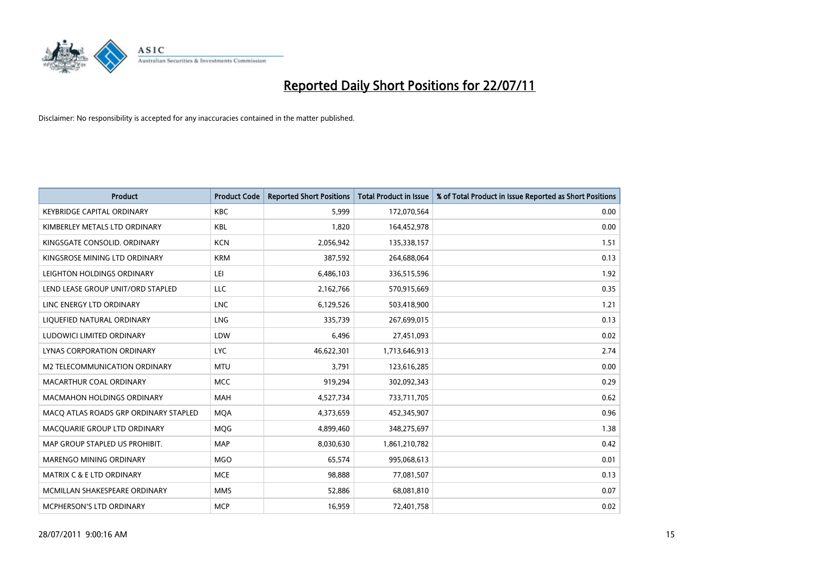

| <b>Product</b>                        | <b>Product Code</b> | <b>Reported Short Positions</b> | <b>Total Product in Issue</b> | % of Total Product in Issue Reported as Short Positions |
|---------------------------------------|---------------------|---------------------------------|-------------------------------|---------------------------------------------------------|
| <b>KEYBRIDGE CAPITAL ORDINARY</b>     | <b>KBC</b>          | 5,999                           | 172,070,564                   | 0.00                                                    |
| KIMBERLEY METALS LTD ORDINARY         | <b>KBL</b>          | 1,820                           | 164,452,978                   | 0.00                                                    |
| KINGSGATE CONSOLID. ORDINARY          | <b>KCN</b>          | 2,056,942                       | 135,338,157                   | 1.51                                                    |
| KINGSROSE MINING LTD ORDINARY         | <b>KRM</b>          | 387,592                         | 264,688,064                   | 0.13                                                    |
| LEIGHTON HOLDINGS ORDINARY            | LEI                 | 6,486,103                       | 336,515,596                   | 1.92                                                    |
| LEND LEASE GROUP UNIT/ORD STAPLED     | LLC                 | 2,162,766                       | 570,915,669                   | 0.35                                                    |
| LINC ENERGY LTD ORDINARY              | <b>LNC</b>          | 6,129,526                       | 503,418,900                   | 1.21                                                    |
| LIQUEFIED NATURAL ORDINARY            | <b>LNG</b>          | 335,739                         | 267,699,015                   | 0.13                                                    |
| LUDOWICI LIMITED ORDINARY             | LDW                 | 6,496                           | 27,451,093                    | 0.02                                                    |
| LYNAS CORPORATION ORDINARY            | <b>LYC</b>          | 46,622,301                      | 1,713,646,913                 | 2.74                                                    |
| M2 TELECOMMUNICATION ORDINARY         | <b>MTU</b>          | 3,791                           | 123,616,285                   | 0.00                                                    |
| MACARTHUR COAL ORDINARY               | <b>MCC</b>          | 919,294                         | 302,092,343                   | 0.29                                                    |
| <b>MACMAHON HOLDINGS ORDINARY</b>     | <b>MAH</b>          | 4,527,734                       | 733,711,705                   | 0.62                                                    |
| MACO ATLAS ROADS GRP ORDINARY STAPLED | <b>MOA</b>          | 4,373,659                       | 452,345,907                   | 0.96                                                    |
| MACQUARIE GROUP LTD ORDINARY          | MQG                 | 4,899,460                       | 348,275,697                   | 1.38                                                    |
| MAP GROUP STAPLED US PROHIBIT.        | <b>MAP</b>          | 8,030,630                       | 1,861,210,782                 | 0.42                                                    |
| <b>MARENGO MINING ORDINARY</b>        | <b>MGO</b>          | 65,574                          | 995,068,613                   | 0.01                                                    |
| MATRIX C & E LTD ORDINARY             | <b>MCE</b>          | 98,888                          | 77,081,507                    | 0.13                                                    |
| MCMILLAN SHAKESPEARE ORDINARY         | <b>MMS</b>          | 52,886                          | 68,081,810                    | 0.07                                                    |
| <b>MCPHERSON'S LTD ORDINARY</b>       | <b>MCP</b>          | 16,959                          | 72,401,758                    | 0.02                                                    |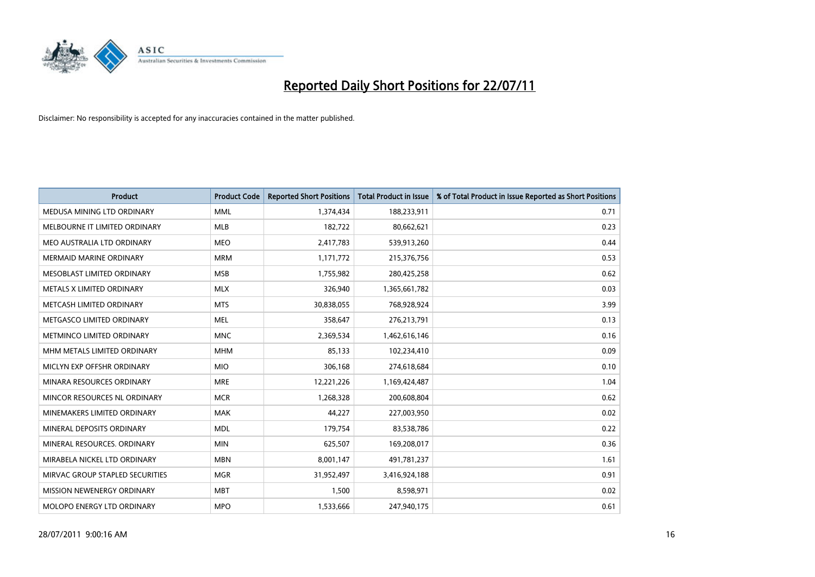

| <b>Product</b>                  | <b>Product Code</b> | <b>Reported Short Positions</b> | Total Product in Issue | % of Total Product in Issue Reported as Short Positions |
|---------------------------------|---------------------|---------------------------------|------------------------|---------------------------------------------------------|
| MEDUSA MINING LTD ORDINARY      | <b>MML</b>          | 1,374,434                       | 188,233,911            | 0.71                                                    |
| MELBOURNE IT LIMITED ORDINARY   | <b>MLB</b>          | 182,722                         | 80,662,621             | 0.23                                                    |
| MEO AUSTRALIA LTD ORDINARY      | <b>MEO</b>          | 2,417,783                       | 539,913,260            | 0.44                                                    |
| <b>MERMAID MARINE ORDINARY</b>  | <b>MRM</b>          | 1,171,772                       | 215,376,756            | 0.53                                                    |
| MESOBLAST LIMITED ORDINARY      | <b>MSB</b>          | 1,755,982                       | 280,425,258            | 0.62                                                    |
| METALS X LIMITED ORDINARY       | <b>MLX</b>          | 326,940                         | 1,365,661,782          | 0.03                                                    |
| METCASH LIMITED ORDINARY        | <b>MTS</b>          | 30,838,055                      | 768,928,924            | 3.99                                                    |
| METGASCO LIMITED ORDINARY       | <b>MEL</b>          | 358,647                         | 276,213,791            | 0.13                                                    |
| METMINCO LIMITED ORDINARY       | <b>MNC</b>          | 2,369,534                       | 1,462,616,146          | 0.16                                                    |
| MHM METALS LIMITED ORDINARY     | <b>MHM</b>          | 85,133                          | 102,234,410            | 0.09                                                    |
| MICLYN EXP OFFSHR ORDINARY      | <b>MIO</b>          | 306,168                         | 274,618,684            | 0.10                                                    |
| MINARA RESOURCES ORDINARY       | <b>MRE</b>          | 12,221,226                      | 1,169,424,487          | 1.04                                                    |
| MINCOR RESOURCES NL ORDINARY    | <b>MCR</b>          | 1,268,328                       | 200,608,804            | 0.62                                                    |
| MINEMAKERS LIMITED ORDINARY     | <b>MAK</b>          | 44,227                          | 227,003,950            | 0.02                                                    |
| MINERAL DEPOSITS ORDINARY       | <b>MDL</b>          | 179,754                         | 83,538,786             | 0.22                                                    |
| MINERAL RESOURCES. ORDINARY     | <b>MIN</b>          | 625,507                         | 169,208,017            | 0.36                                                    |
| MIRABELA NICKEL LTD ORDINARY    | <b>MBN</b>          | 8,001,147                       | 491,781,237            | 1.61                                                    |
| MIRVAC GROUP STAPLED SECURITIES | <b>MGR</b>          | 31,952,497                      | 3,416,924,188          | 0.91                                                    |
| MISSION NEWENERGY ORDINARY      | <b>MBT</b>          | 1,500                           | 8,598,971              | 0.02                                                    |
| MOLOPO ENERGY LTD ORDINARY      | <b>MPO</b>          | 1,533,666                       | 247,940,175            | 0.61                                                    |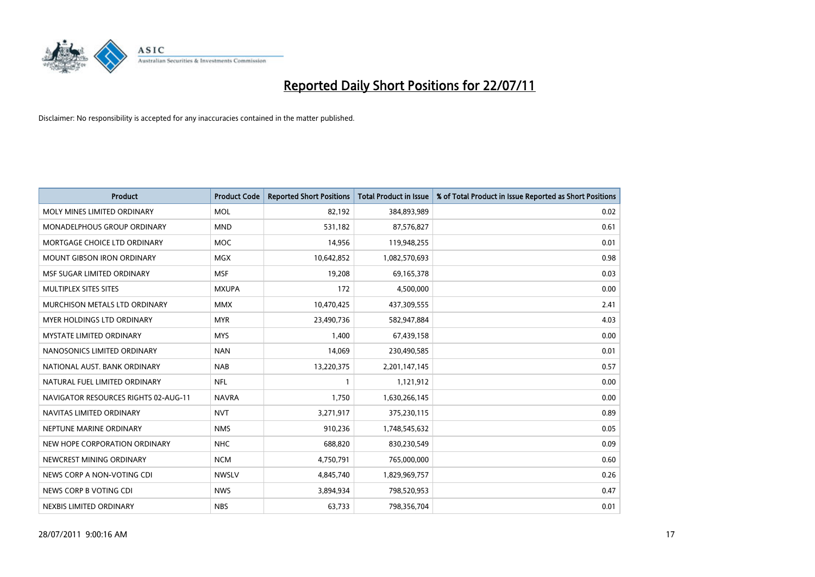

| <b>Product</b>                       | <b>Product Code</b> | <b>Reported Short Positions</b> | Total Product in Issue | % of Total Product in Issue Reported as Short Positions |
|--------------------------------------|---------------------|---------------------------------|------------------------|---------------------------------------------------------|
| MOLY MINES LIMITED ORDINARY          | <b>MOL</b>          | 82,192                          | 384,893,989            | 0.02                                                    |
| MONADELPHOUS GROUP ORDINARY          | <b>MND</b>          | 531,182                         | 87,576,827             | 0.61                                                    |
| MORTGAGE CHOICE LTD ORDINARY         | <b>MOC</b>          | 14,956                          | 119,948,255            | 0.01                                                    |
| MOUNT GIBSON IRON ORDINARY           | <b>MGX</b>          | 10,642,852                      | 1,082,570,693          | 0.98                                                    |
| MSF SUGAR LIMITED ORDINARY           | <b>MSF</b>          | 19,208                          | 69,165,378             | 0.03                                                    |
| MULTIPLEX SITES SITES                | <b>MXUPA</b>        | 172                             | 4,500,000              | 0.00                                                    |
| <b>MURCHISON METALS LTD ORDINARY</b> | <b>MMX</b>          | 10,470,425                      | 437,309,555            | 2.41                                                    |
| <b>MYER HOLDINGS LTD ORDINARY</b>    | <b>MYR</b>          | 23,490,736                      | 582,947,884            | 4.03                                                    |
| <b>MYSTATE LIMITED ORDINARY</b>      | <b>MYS</b>          | 1.400                           | 67,439,158             | 0.00                                                    |
| NANOSONICS LIMITED ORDINARY          | <b>NAN</b>          | 14,069                          | 230,490,585            | 0.01                                                    |
| NATIONAL AUST. BANK ORDINARY         | <b>NAB</b>          | 13,220,375                      | 2,201,147,145          | 0.57                                                    |
| NATURAL FUEL LIMITED ORDINARY        | <b>NFL</b>          |                                 | 1,121,912              | 0.00                                                    |
| NAVIGATOR RESOURCES RIGHTS 02-AUG-11 | <b>NAVRA</b>        | 1,750                           | 1,630,266,145          | 0.00                                                    |
| NAVITAS LIMITED ORDINARY             | <b>NVT</b>          | 3,271,917                       | 375,230,115            | 0.89                                                    |
| NEPTUNE MARINE ORDINARY              | <b>NMS</b>          | 910,236                         | 1,748,545,632          | 0.05                                                    |
| NEW HOPE CORPORATION ORDINARY        | <b>NHC</b>          | 688,820                         | 830,230,549            | 0.09                                                    |
| NEWCREST MINING ORDINARY             | <b>NCM</b>          | 4,750,791                       | 765,000,000            | 0.60                                                    |
| NEWS CORP A NON-VOTING CDI           | <b>NWSLV</b>        | 4,845,740                       | 1,829,969,757          | 0.26                                                    |
| NEWS CORP B VOTING CDI               | <b>NWS</b>          | 3,894,934                       | 798,520,953            | 0.47                                                    |
| NEXBIS LIMITED ORDINARY              | <b>NBS</b>          | 63,733                          | 798,356,704            | 0.01                                                    |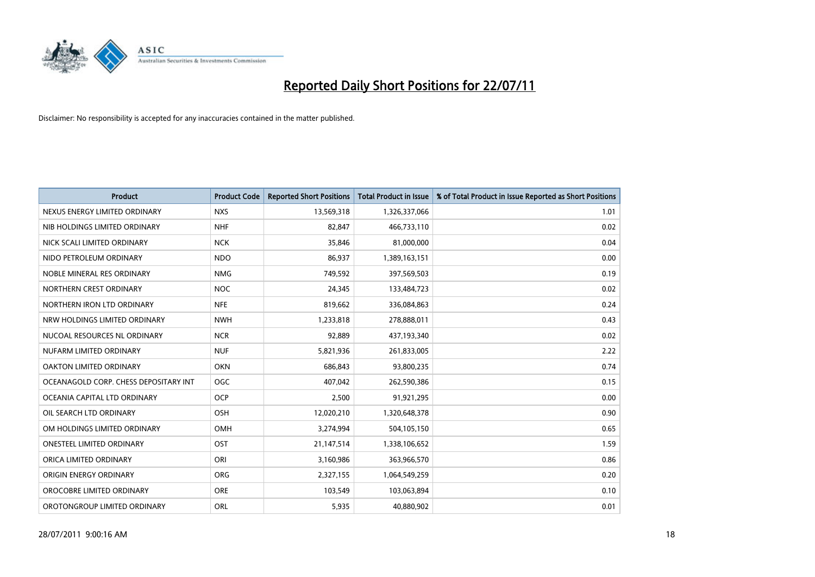

| <b>Product</b>                        | <b>Product Code</b> | <b>Reported Short Positions</b> | <b>Total Product in Issue</b> | % of Total Product in Issue Reported as Short Positions |
|---------------------------------------|---------------------|---------------------------------|-------------------------------|---------------------------------------------------------|
| NEXUS ENERGY LIMITED ORDINARY         | <b>NXS</b>          | 13,569,318                      | 1,326,337,066                 | 1.01                                                    |
| NIB HOLDINGS LIMITED ORDINARY         | <b>NHF</b>          | 82,847                          | 466,733,110                   | 0.02                                                    |
| NICK SCALI LIMITED ORDINARY           | <b>NCK</b>          | 35,846                          | 81,000,000                    | 0.04                                                    |
| NIDO PETROLEUM ORDINARY               | <b>NDO</b>          | 86,937                          | 1,389,163,151                 | 0.00                                                    |
| NOBLE MINERAL RES ORDINARY            | <b>NMG</b>          | 749,592                         | 397,569,503                   | 0.19                                                    |
| NORTHERN CREST ORDINARY               | <b>NOC</b>          | 24,345                          | 133,484,723                   | 0.02                                                    |
| NORTHERN IRON LTD ORDINARY            | <b>NFE</b>          | 819,662                         | 336,084,863                   | 0.24                                                    |
| NRW HOLDINGS LIMITED ORDINARY         | <b>NWH</b>          | 1,233,818                       | 278,888,011                   | 0.43                                                    |
| NUCOAL RESOURCES NL ORDINARY          | <b>NCR</b>          | 92,889                          | 437,193,340                   | 0.02                                                    |
| NUFARM LIMITED ORDINARY               | <b>NUF</b>          | 5,821,936                       | 261,833,005                   | 2.22                                                    |
| OAKTON LIMITED ORDINARY               | OKN                 | 686,843                         | 93,800,235                    | 0.74                                                    |
| OCEANAGOLD CORP. CHESS DEPOSITARY INT | <b>OGC</b>          | 407,042                         | 262,590,386                   | 0.15                                                    |
| OCEANIA CAPITAL LTD ORDINARY          | <b>OCP</b>          | 2,500                           | 91,921,295                    | 0.00                                                    |
| OIL SEARCH LTD ORDINARY               | <b>OSH</b>          | 12,020,210                      | 1,320,648,378                 | 0.90                                                    |
| OM HOLDINGS LIMITED ORDINARY          | OMH                 | 3,274,994                       | 504,105,150                   | 0.65                                                    |
| ONESTEEL LIMITED ORDINARY             | OST                 | 21,147,514                      | 1,338,106,652                 | 1.59                                                    |
| ORICA LIMITED ORDINARY                | ORI                 | 3,160,986                       | 363,966,570                   | 0.86                                                    |
| ORIGIN ENERGY ORDINARY                | <b>ORG</b>          | 2,327,155                       | 1,064,549,259                 | 0.20                                                    |
| OROCOBRE LIMITED ORDINARY             | <b>ORE</b>          | 103,549                         | 103,063,894                   | 0.10                                                    |
| OROTONGROUP LIMITED ORDINARY          | ORL                 | 5,935                           | 40,880,902                    | 0.01                                                    |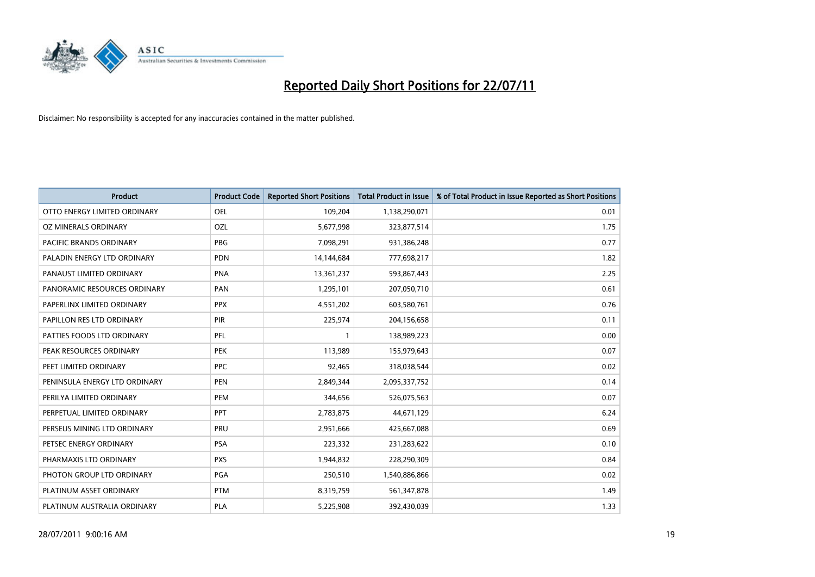

| <b>Product</b>                | <b>Product Code</b> | <b>Reported Short Positions</b> | <b>Total Product in Issue</b> | % of Total Product in Issue Reported as Short Positions |
|-------------------------------|---------------------|---------------------------------|-------------------------------|---------------------------------------------------------|
| OTTO ENERGY LIMITED ORDINARY  | OEL                 | 109,204                         | 1,138,290,071                 | 0.01                                                    |
| OZ MINERALS ORDINARY          | OZL                 | 5,677,998                       | 323,877,514                   | 1.75                                                    |
| PACIFIC BRANDS ORDINARY       | <b>PBG</b>          | 7,098,291                       | 931,386,248                   | 0.77                                                    |
| PALADIN ENERGY LTD ORDINARY   | <b>PDN</b>          | 14,144,684                      | 777,698,217                   | 1.82                                                    |
| PANAUST LIMITED ORDINARY      | <b>PNA</b>          | 13,361,237                      | 593,867,443                   | 2.25                                                    |
| PANORAMIC RESOURCES ORDINARY  | PAN                 | 1,295,101                       | 207,050,710                   | 0.61                                                    |
| PAPERLINX LIMITED ORDINARY    | <b>PPX</b>          | 4,551,202                       | 603,580,761                   | 0.76                                                    |
| PAPILLON RES LTD ORDINARY     | PIR                 | 225,974                         | 204,156,658                   | 0.11                                                    |
| PATTIES FOODS LTD ORDINARY    | PFL                 |                                 | 138,989,223                   | 0.00                                                    |
| PEAK RESOURCES ORDINARY       | <b>PEK</b>          | 113,989                         | 155,979,643                   | 0.07                                                    |
| PEET LIMITED ORDINARY         | PPC                 | 92,465                          | 318,038,544                   | 0.02                                                    |
| PENINSULA ENERGY LTD ORDINARY | <b>PEN</b>          | 2,849,344                       | 2,095,337,752                 | 0.14                                                    |
| PERILYA LIMITED ORDINARY      | PEM                 | 344,656                         | 526,075,563                   | 0.07                                                    |
| PERPETUAL LIMITED ORDINARY    | PPT                 | 2,783,875                       | 44,671,129                    | 6.24                                                    |
| PERSEUS MINING LTD ORDINARY   | PRU                 | 2,951,666                       | 425,667,088                   | 0.69                                                    |
| PETSEC ENERGY ORDINARY        | <b>PSA</b>          | 223,332                         | 231,283,622                   | 0.10                                                    |
| PHARMAXIS LTD ORDINARY        | <b>PXS</b>          | 1,944,832                       | 228,290,309                   | 0.84                                                    |
| PHOTON GROUP LTD ORDINARY     | PGA                 | 250,510                         | 1,540,886,866                 | 0.02                                                    |
| PLATINUM ASSET ORDINARY       | <b>PTM</b>          | 8,319,759                       | 561,347,878                   | 1.49                                                    |
| PLATINUM AUSTRALIA ORDINARY   | <b>PLA</b>          | 5,225,908                       | 392,430,039                   | 1.33                                                    |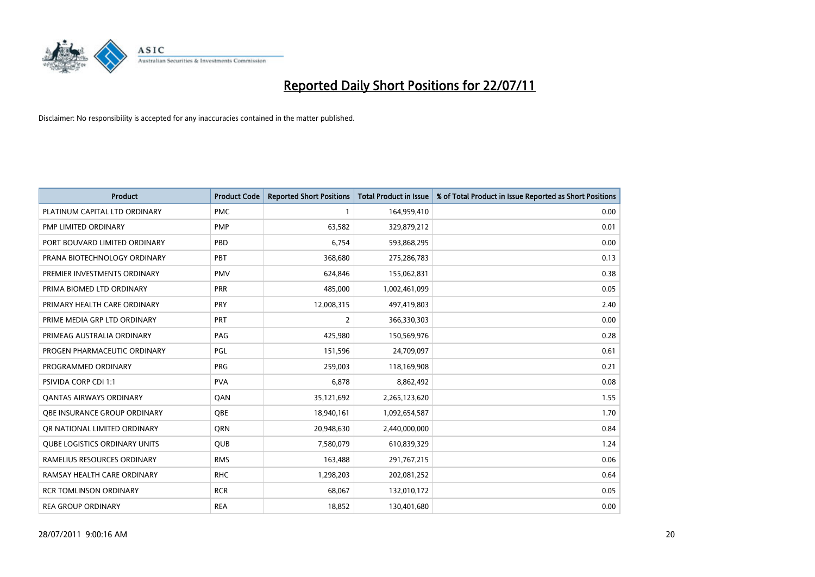

| <b>Product</b>                       | <b>Product Code</b> | <b>Reported Short Positions</b> | <b>Total Product in Issue</b> | % of Total Product in Issue Reported as Short Positions |
|--------------------------------------|---------------------|---------------------------------|-------------------------------|---------------------------------------------------------|
| PLATINUM CAPITAL LTD ORDINARY        | <b>PMC</b>          |                                 | 164,959,410                   | 0.00                                                    |
| PMP LIMITED ORDINARY                 | <b>PMP</b>          | 63,582                          | 329,879,212                   | 0.01                                                    |
| PORT BOUVARD LIMITED ORDINARY        | PBD                 | 6,754                           | 593,868,295                   | 0.00                                                    |
| PRANA BIOTECHNOLOGY ORDINARY         | PBT                 | 368,680                         | 275,286,783                   | 0.13                                                    |
| PREMIER INVESTMENTS ORDINARY         | <b>PMV</b>          | 624,846                         | 155,062,831                   | 0.38                                                    |
| PRIMA BIOMED LTD ORDINARY            | <b>PRR</b>          | 485,000                         | 1,002,461,099                 | 0.05                                                    |
| PRIMARY HEALTH CARE ORDINARY         | PRY                 | 12,008,315                      | 497,419,803                   | 2.40                                                    |
| PRIME MEDIA GRP LTD ORDINARY         | PRT                 | $\overline{2}$                  | 366,330,303                   | 0.00                                                    |
| PRIMEAG AUSTRALIA ORDINARY           | PAG                 | 425,980                         | 150,569,976                   | 0.28                                                    |
| PROGEN PHARMACEUTIC ORDINARY         | PGL                 | 151,596                         | 24,709,097                    | 0.61                                                    |
| PROGRAMMED ORDINARY                  | <b>PRG</b>          | 259,003                         | 118,169,908                   | 0.21                                                    |
| <b>PSIVIDA CORP CDI 1:1</b>          | <b>PVA</b>          | 6,878                           | 8,862,492                     | 0.08                                                    |
| <b>QANTAS AIRWAYS ORDINARY</b>       | QAN                 | 35,121,692                      | 2,265,123,620                 | 1.55                                                    |
| OBE INSURANCE GROUP ORDINARY         | <b>QBE</b>          | 18,940,161                      | 1,092,654,587                 | 1.70                                                    |
| OR NATIONAL LIMITED ORDINARY         | <b>ORN</b>          | 20,948,630                      | 2,440,000,000                 | 0.84                                                    |
| <b>QUBE LOGISTICS ORDINARY UNITS</b> | <b>QUB</b>          | 7,580,079                       | 610,839,329                   | 1.24                                                    |
| RAMELIUS RESOURCES ORDINARY          | <b>RMS</b>          | 163,488                         | 291,767,215                   | 0.06                                                    |
| RAMSAY HEALTH CARE ORDINARY          | <b>RHC</b>          | 1,298,203                       | 202,081,252                   | 0.64                                                    |
| <b>RCR TOMLINSON ORDINARY</b>        | <b>RCR</b>          | 68,067                          | 132,010,172                   | 0.05                                                    |
| <b>REA GROUP ORDINARY</b>            | <b>REA</b>          | 18,852                          | 130,401,680                   | 0.00                                                    |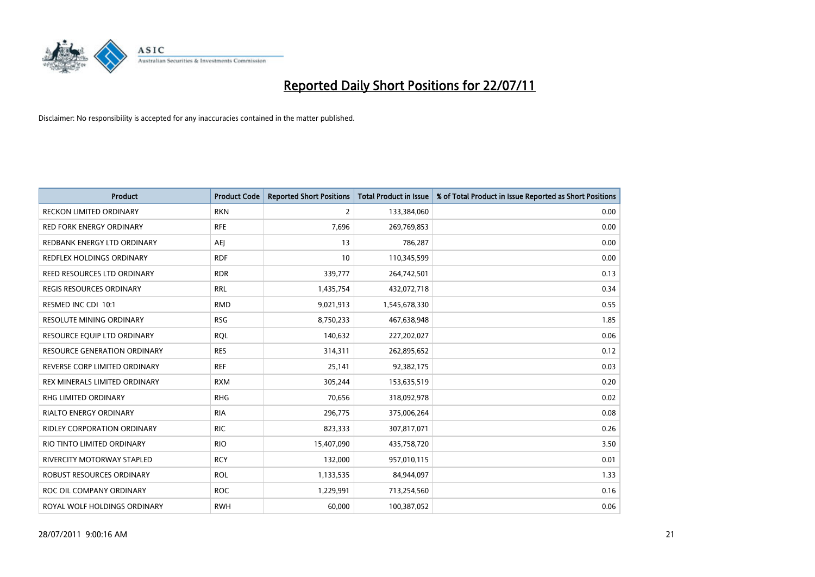

| <b>Product</b>                      | <b>Product Code</b> | <b>Reported Short Positions</b> | Total Product in Issue | % of Total Product in Issue Reported as Short Positions |
|-------------------------------------|---------------------|---------------------------------|------------------------|---------------------------------------------------------|
| <b>RECKON LIMITED ORDINARY</b>      | <b>RKN</b>          | 2                               | 133,384,060            | 0.00                                                    |
| RED FORK ENERGY ORDINARY            | <b>RFE</b>          | 7,696                           | 269,769,853            | 0.00                                                    |
| REDBANK ENERGY LTD ORDINARY         | <b>AEI</b>          | 13                              | 786,287                | 0.00                                                    |
| REDFLEX HOLDINGS ORDINARY           | <b>RDF</b>          | 10                              | 110,345,599            | 0.00                                                    |
| REED RESOURCES LTD ORDINARY         | <b>RDR</b>          | 339,777                         | 264,742,501            | 0.13                                                    |
| <b>REGIS RESOURCES ORDINARY</b>     | <b>RRL</b>          | 1,435,754                       | 432,072,718            | 0.34                                                    |
| RESMED INC CDI 10:1                 | <b>RMD</b>          | 9,021,913                       | 1,545,678,330          | 0.55                                                    |
| RESOLUTE MINING ORDINARY            | <b>RSG</b>          | 8,750,233                       | 467,638,948            | 1.85                                                    |
| RESOURCE EQUIP LTD ORDINARY         | <b>RQL</b>          | 140,632                         | 227,202,027            | 0.06                                                    |
| <b>RESOURCE GENERATION ORDINARY</b> | <b>RES</b>          | 314,311                         | 262,895,652            | 0.12                                                    |
| REVERSE CORP LIMITED ORDINARY       | <b>REF</b>          | 25,141                          | 92,382,175             | 0.03                                                    |
| REX MINERALS LIMITED ORDINARY       | <b>RXM</b>          | 305,244                         | 153,635,519            | 0.20                                                    |
| RHG LIMITED ORDINARY                | <b>RHG</b>          | 70,656                          | 318,092,978            | 0.02                                                    |
| <b>RIALTO ENERGY ORDINARY</b>       | <b>RIA</b>          | 296,775                         | 375,006,264            | 0.08                                                    |
| <b>RIDLEY CORPORATION ORDINARY</b>  | <b>RIC</b>          | 823,333                         | 307,817,071            | 0.26                                                    |
| RIO TINTO LIMITED ORDINARY          | <b>RIO</b>          | 15,407,090                      | 435,758,720            | 3.50                                                    |
| RIVERCITY MOTORWAY STAPLED          | <b>RCY</b>          | 132,000                         | 957,010,115            | 0.01                                                    |
| ROBUST RESOURCES ORDINARY           | <b>ROL</b>          | 1,133,535                       | 84,944,097             | 1.33                                                    |
| ROC OIL COMPANY ORDINARY            | <b>ROC</b>          | 1,229,991                       | 713,254,560            | 0.16                                                    |
| ROYAL WOLF HOLDINGS ORDINARY        | <b>RWH</b>          | 60,000                          | 100,387,052            | 0.06                                                    |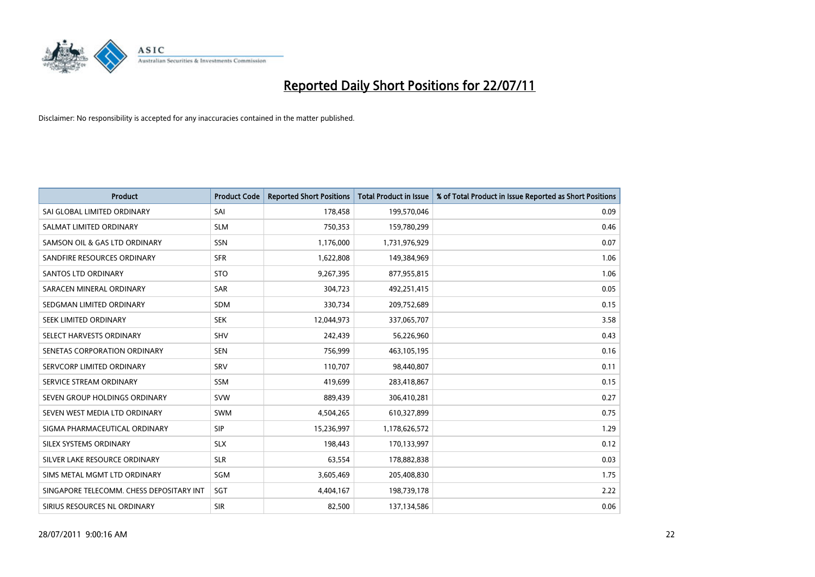

| <b>Product</b>                           | <b>Product Code</b> | <b>Reported Short Positions</b> | <b>Total Product in Issue</b> | % of Total Product in Issue Reported as Short Positions |
|------------------------------------------|---------------------|---------------------------------|-------------------------------|---------------------------------------------------------|
| SAI GLOBAL LIMITED ORDINARY              | SAI                 | 178,458                         | 199,570,046                   | 0.09                                                    |
| SALMAT LIMITED ORDINARY                  | <b>SLM</b>          | 750,353                         | 159,780,299                   | 0.46                                                    |
| SAMSON OIL & GAS LTD ORDINARY            | SSN                 | 1,176,000                       | 1,731,976,929                 | 0.07                                                    |
| SANDFIRE RESOURCES ORDINARY              | <b>SFR</b>          | 1,622,808                       | 149,384,969                   | 1.06                                                    |
| <b>SANTOS LTD ORDINARY</b>               | <b>STO</b>          | 9,267,395                       | 877,955,815                   | 1.06                                                    |
| SARACEN MINERAL ORDINARY                 | <b>SAR</b>          | 304,723                         | 492,251,415                   | 0.05                                                    |
| SEDGMAN LIMITED ORDINARY                 | <b>SDM</b>          | 330,734                         | 209,752,689                   | 0.15                                                    |
| SEEK LIMITED ORDINARY                    | <b>SEK</b>          | 12,044,973                      | 337,065,707                   | 3.58                                                    |
| SELECT HARVESTS ORDINARY                 | SHV                 | 242,439                         | 56,226,960                    | 0.43                                                    |
| SENETAS CORPORATION ORDINARY             | <b>SEN</b>          | 756,999                         | 463,105,195                   | 0.16                                                    |
| SERVCORP LIMITED ORDINARY                | SRV                 | 110,707                         | 98,440,807                    | 0.11                                                    |
| SERVICE STREAM ORDINARY                  | SSM                 | 419,699                         | 283,418,867                   | 0.15                                                    |
| SEVEN GROUP HOLDINGS ORDINARY            | <b>SVW</b>          | 889,439                         | 306,410,281                   | 0.27                                                    |
| SEVEN WEST MEDIA LTD ORDINARY            | <b>SWM</b>          | 4,504,265                       | 610,327,899                   | 0.75                                                    |
| SIGMA PHARMACEUTICAL ORDINARY            | <b>SIP</b>          | 15,236,997                      | 1,178,626,572                 | 1.29                                                    |
| SILEX SYSTEMS ORDINARY                   | <b>SLX</b>          | 198,443                         | 170,133,997                   | 0.12                                                    |
| SILVER LAKE RESOURCE ORDINARY            | <b>SLR</b>          | 63,554                          | 178,882,838                   | 0.03                                                    |
| SIMS METAL MGMT LTD ORDINARY             | SGM                 | 3,605,469                       | 205,408,830                   | 1.75                                                    |
| SINGAPORE TELECOMM. CHESS DEPOSITARY INT | SGT                 | 4,404,167                       | 198,739,178                   | 2.22                                                    |
| SIRIUS RESOURCES NL ORDINARY             | <b>SIR</b>          | 82,500                          | 137,134,586                   | 0.06                                                    |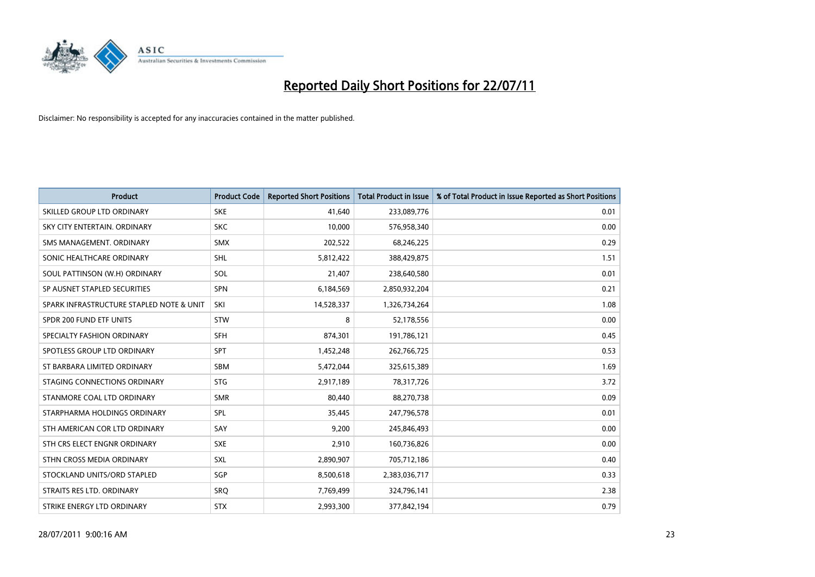

| <b>Product</b>                           | <b>Product Code</b> | <b>Reported Short Positions</b> | Total Product in Issue | % of Total Product in Issue Reported as Short Positions |
|------------------------------------------|---------------------|---------------------------------|------------------------|---------------------------------------------------------|
| SKILLED GROUP LTD ORDINARY               | <b>SKE</b>          | 41,640                          | 233,089,776            | 0.01                                                    |
| SKY CITY ENTERTAIN. ORDINARY             | <b>SKC</b>          | 10,000                          | 576,958,340            | 0.00                                                    |
| SMS MANAGEMENT. ORDINARY                 | <b>SMX</b>          | 202,522                         | 68,246,225             | 0.29                                                    |
| SONIC HEALTHCARE ORDINARY                | <b>SHL</b>          | 5,812,422                       | 388,429,875            | 1.51                                                    |
| SOUL PATTINSON (W.H) ORDINARY            | SOL                 | 21,407                          | 238,640,580            | 0.01                                                    |
| SP AUSNET STAPLED SECURITIES             | <b>SPN</b>          | 6,184,569                       | 2,850,932,204          | 0.21                                                    |
| SPARK INFRASTRUCTURE STAPLED NOTE & UNIT | SKI                 | 14,528,337                      | 1,326,734,264          | 1.08                                                    |
| SPDR 200 FUND ETF UNITS                  | <b>STW</b>          | 8                               | 52,178,556             | 0.00                                                    |
| SPECIALTY FASHION ORDINARY               | <b>SFH</b>          | 874,301                         | 191,786,121            | 0.45                                                    |
| SPOTLESS GROUP LTD ORDINARY              | <b>SPT</b>          | 1,452,248                       | 262,766,725            | 0.53                                                    |
| ST BARBARA LIMITED ORDINARY              | SBM                 | 5,472,044                       | 325,615,389            | 1.69                                                    |
| STAGING CONNECTIONS ORDINARY             | <b>STG</b>          | 2,917,189                       | 78,317,726             | 3.72                                                    |
| STANMORE COAL LTD ORDINARY               | <b>SMR</b>          | 80,440                          | 88,270,738             | 0.09                                                    |
| STARPHARMA HOLDINGS ORDINARY             | SPL                 | 35,445                          | 247,796,578            | 0.01                                                    |
| STH AMERICAN COR LTD ORDINARY            | SAY                 | 9,200                           | 245,846,493            | 0.00                                                    |
| STH CRS ELECT ENGNR ORDINARY             | <b>SXE</b>          | 2,910                           | 160,736,826            | 0.00                                                    |
| STHN CROSS MEDIA ORDINARY                | SXL                 | 2,890,907                       | 705,712,186            | 0.40                                                    |
| STOCKLAND UNITS/ORD STAPLED              | <b>SGP</b>          | 8,500,618                       | 2,383,036,717          | 0.33                                                    |
| STRAITS RES LTD. ORDINARY                | <b>SRO</b>          | 7,769,499                       | 324,796,141            | 2.38                                                    |
| STRIKE ENERGY LTD ORDINARY               | <b>STX</b>          | 2,993,300                       | 377,842,194            | 0.79                                                    |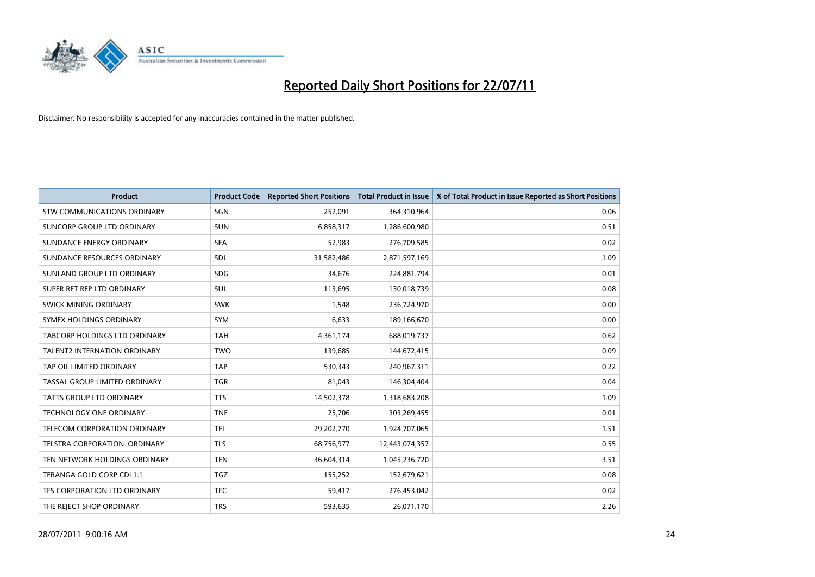

| <b>Product</b>                      | <b>Product Code</b> | <b>Reported Short Positions</b> | <b>Total Product in Issue</b> | % of Total Product in Issue Reported as Short Positions |
|-------------------------------------|---------------------|---------------------------------|-------------------------------|---------------------------------------------------------|
| <b>STW COMMUNICATIONS ORDINARY</b>  | SGN                 | 252,091                         | 364,310,964                   | 0.06                                                    |
| SUNCORP GROUP LTD ORDINARY          | <b>SUN</b>          | 6,858,317                       | 1,286,600,980                 | 0.51                                                    |
| SUNDANCE ENERGY ORDINARY            | <b>SEA</b>          | 52,983                          | 276,709,585                   | 0.02                                                    |
| SUNDANCE RESOURCES ORDINARY         | <b>SDL</b>          | 31,582,486                      | 2,871,597,169                 | 1.09                                                    |
| SUNLAND GROUP LTD ORDINARY          | <b>SDG</b>          | 34,676                          | 224,881,794                   | 0.01                                                    |
| SUPER RET REP LTD ORDINARY          | <b>SUL</b>          | 113,695                         | 130,018,739                   | 0.08                                                    |
| SWICK MINING ORDINARY               | <b>SWK</b>          | 1,548                           | 236,724,970                   | 0.00                                                    |
| SYMEX HOLDINGS ORDINARY             | <b>SYM</b>          | 6,633                           | 189,166,670                   | 0.00                                                    |
| TABCORP HOLDINGS LTD ORDINARY       | <b>TAH</b>          | 4,361,174                       | 688,019,737                   | 0.62                                                    |
| <b>TALENT2 INTERNATION ORDINARY</b> | <b>TWO</b>          | 139,685                         | 144,672,415                   | 0.09                                                    |
| TAP OIL LIMITED ORDINARY            | <b>TAP</b>          | 530,343                         | 240,967,311                   | 0.22                                                    |
| TASSAL GROUP LIMITED ORDINARY       | <b>TGR</b>          | 81,043                          | 146,304,404                   | 0.04                                                    |
| TATTS GROUP LTD ORDINARY            | <b>TTS</b>          | 14,502,378                      | 1,318,683,208                 | 1.09                                                    |
| TECHNOLOGY ONE ORDINARY             | <b>TNE</b>          | 25,706                          | 303,269,455                   | 0.01                                                    |
| TELECOM CORPORATION ORDINARY        | <b>TEL</b>          | 29,202,770                      | 1,924,707,065                 | 1.51                                                    |
| TELSTRA CORPORATION. ORDINARY       | <b>TLS</b>          | 68,756,977                      | 12,443,074,357                | 0.55                                                    |
| TEN NETWORK HOLDINGS ORDINARY       | <b>TEN</b>          | 36,604,314                      | 1,045,236,720                 | 3.51                                                    |
| TERANGA GOLD CORP CDI 1:1           | <b>TGZ</b>          | 155,252                         | 152,679,621                   | 0.08                                                    |
| TFS CORPORATION LTD ORDINARY        | <b>TFC</b>          | 59,417                          | 276,453,042                   | 0.02                                                    |
| THE REJECT SHOP ORDINARY            | <b>TRS</b>          | 593,635                         | 26,071,170                    | 2.26                                                    |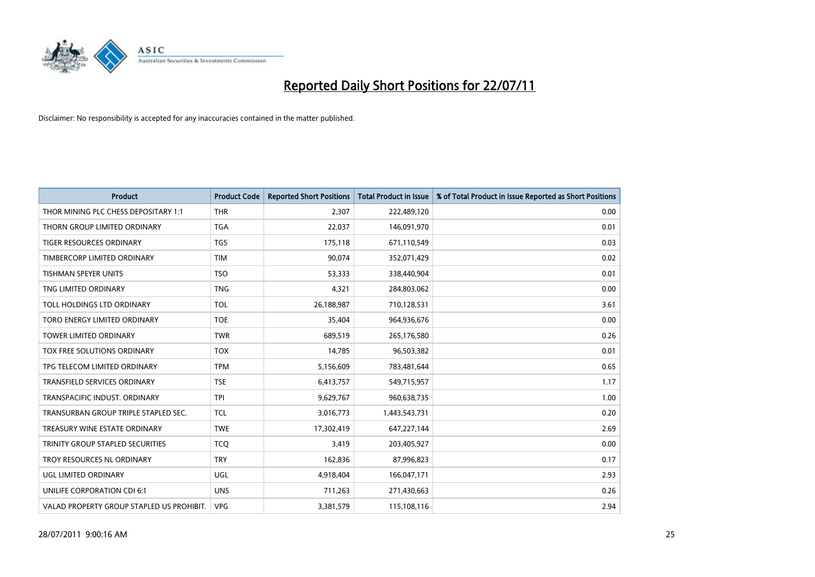

| <b>Product</b>                            | <b>Product Code</b> | <b>Reported Short Positions</b> | <b>Total Product in Issue</b> | % of Total Product in Issue Reported as Short Positions |
|-------------------------------------------|---------------------|---------------------------------|-------------------------------|---------------------------------------------------------|
| THOR MINING PLC CHESS DEPOSITARY 1:1      | <b>THR</b>          | 2,307                           | 222,489,120                   | 0.00                                                    |
| THORN GROUP LIMITED ORDINARY              | <b>TGA</b>          | 22,037                          | 146,091,970                   | 0.01                                                    |
| <b>TIGER RESOURCES ORDINARY</b>           | <b>TGS</b>          | 175,118                         | 671,110,549                   | 0.03                                                    |
| TIMBERCORP LIMITED ORDINARY               | <b>TIM</b>          | 90,074                          | 352,071,429                   | 0.02                                                    |
| <b>TISHMAN SPEYER UNITS</b>               | <b>TSO</b>          | 53,333                          | 338,440,904                   | 0.01                                                    |
| TNG LIMITED ORDINARY                      | <b>TNG</b>          | 4,321                           | 284,803,062                   | 0.00                                                    |
| TOLL HOLDINGS LTD ORDINARY                | <b>TOL</b>          | 26,188,987                      | 710,128,531                   | 3.61                                                    |
| TORO ENERGY LIMITED ORDINARY              | <b>TOE</b>          | 35,404                          | 964,936,676                   | 0.00                                                    |
| TOWER LIMITED ORDINARY                    | <b>TWR</b>          | 689,519                         | 265,176,580                   | 0.26                                                    |
| <b>TOX FREE SOLUTIONS ORDINARY</b>        | <b>TOX</b>          | 14,785                          | 96,503,382                    | 0.01                                                    |
| TPG TELECOM LIMITED ORDINARY              | <b>TPM</b>          | 5,156,609                       | 783,481,644                   | 0.65                                                    |
| <b>TRANSFIELD SERVICES ORDINARY</b>       | <b>TSE</b>          | 6,413,757                       | 549,715,957                   | 1.17                                                    |
| TRANSPACIFIC INDUST, ORDINARY             | <b>TPI</b>          | 9,629,767                       | 960,638,735                   | 1.00                                                    |
| TRANSURBAN GROUP TRIPLE STAPLED SEC.      | <b>TCL</b>          | 3,016,773                       | 1,443,543,731                 | 0.20                                                    |
| TREASURY WINE ESTATE ORDINARY             | <b>TWE</b>          | 17,302,419                      | 647,227,144                   | 2.69                                                    |
| TRINITY GROUP STAPLED SECURITIES          | <b>TCO</b>          | 3,419                           | 203,405,927                   | 0.00                                                    |
| TROY RESOURCES NL ORDINARY                | <b>TRY</b>          | 162,836                         | 87,996,823                    | 0.17                                                    |
| UGL LIMITED ORDINARY                      | <b>UGL</b>          | 4,918,404                       | 166,047,171                   | 2.93                                                    |
| UNILIFE CORPORATION CDI 6:1               | <b>UNS</b>          | 711,263                         | 271,430,663                   | 0.26                                                    |
| VALAD PROPERTY GROUP STAPLED US PROHIBIT. | <b>VPG</b>          | 3,381,579                       | 115,108,116                   | 2.94                                                    |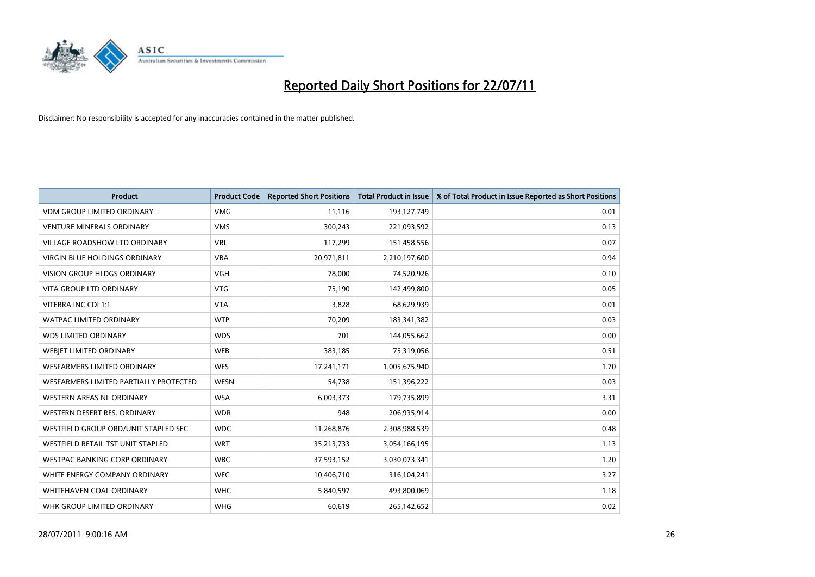

| <b>Product</b>                         | <b>Product Code</b> | <b>Reported Short Positions</b> | Total Product in Issue | % of Total Product in Issue Reported as Short Positions |
|----------------------------------------|---------------------|---------------------------------|------------------------|---------------------------------------------------------|
| <b>VDM GROUP LIMITED ORDINARY</b>      | <b>VMG</b>          | 11,116                          | 193,127,749            | 0.01                                                    |
| <b>VENTURE MINERALS ORDINARY</b>       | <b>VMS</b>          | 300,243                         | 221,093,592            | 0.13                                                    |
| <b>VILLAGE ROADSHOW LTD ORDINARY</b>   | <b>VRL</b>          | 117,299                         | 151,458,556            | 0.07                                                    |
| VIRGIN BLUE HOLDINGS ORDINARY          | <b>VBA</b>          | 20,971,811                      | 2,210,197,600          | 0.94                                                    |
| <b>VISION GROUP HLDGS ORDINARY</b>     | <b>VGH</b>          | 78,000                          | 74,520,926             | 0.10                                                    |
| <b>VITA GROUP LTD ORDINARY</b>         | <b>VTG</b>          | 75,190                          | 142,499,800            | 0.05                                                    |
| VITERRA INC CDI 1:1                    | <b>VTA</b>          | 3,828                           | 68,629,939             | 0.01                                                    |
| <b>WATPAC LIMITED ORDINARY</b>         | <b>WTP</b>          | 70,209                          | 183,341,382            | 0.03                                                    |
| <b>WDS LIMITED ORDINARY</b>            | <b>WDS</b>          | 701                             | 144,055,662            | 0.00                                                    |
| WEBIET LIMITED ORDINARY                | <b>WEB</b>          | 383,185                         | 75,319,056             | 0.51                                                    |
| <b>WESFARMERS LIMITED ORDINARY</b>     | <b>WES</b>          | 17,241,171                      | 1,005,675,940          | 1.70                                                    |
| WESFARMERS LIMITED PARTIALLY PROTECTED | <b>WESN</b>         | 54,738                          | 151,396,222            | 0.03                                                    |
| <b>WESTERN AREAS NL ORDINARY</b>       | <b>WSA</b>          | 6,003,373                       | 179,735,899            | 3.31                                                    |
| WESTERN DESERT RES. ORDINARY           | <b>WDR</b>          | 948                             | 206,935,914            | 0.00                                                    |
| WESTFIELD GROUP ORD/UNIT STAPLED SEC   | <b>WDC</b>          | 11,268,876                      | 2,308,988,539          | 0.48                                                    |
| WESTFIELD RETAIL TST UNIT STAPLED      | <b>WRT</b>          | 35,213,733                      | 3,054,166,195          | 1.13                                                    |
| <b>WESTPAC BANKING CORP ORDINARY</b>   | <b>WBC</b>          | 37,593,152                      | 3,030,073,341          | 1.20                                                    |
| WHITE ENERGY COMPANY ORDINARY          | <b>WEC</b>          | 10,406,710                      | 316,104,241            | 3.27                                                    |
| WHITEHAVEN COAL ORDINARY               | <b>WHC</b>          | 5,840,597                       | 493,800,069            | 1.18                                                    |
| WHK GROUP LIMITED ORDINARY             | <b>WHG</b>          | 60,619                          | 265,142,652            | 0.02                                                    |